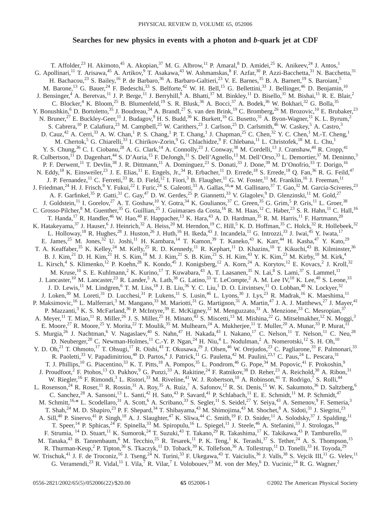## **Searches for new physics in events with a photon and** *b***-quark jet at CDF**

T. Affolder,<sup>23</sup> H. Akimoto,<sup>45</sup> A. Akopian,<sup>37</sup> M. G. Albrow,<sup>11</sup> P. Amaral,<sup>8</sup> D. Amidei,<sup>25</sup> K. Anikeev,<sup>24</sup> J. Antos,<sup>1</sup> G. Apollinari,<sup>11</sup> T. Arisawa,<sup>45</sup> A. Artikov,<sup>9</sup> T. Asakawa,<sup>43</sup> W. Ashmanskas,<sup>8</sup> F. Azfar,<sup>30</sup> P. Azzi-Bacchetta,<sup>31</sup> N. Bacchetta,<sup>31</sup> H. Bachacou,<sup>23</sup> S. Bailey,<sup>16</sup> P. de Barbaro,<sup>36</sup> A. Barbaro-Galtieri,<sup>23</sup> V. E. Barnes,<sup>35</sup> B. A. Barnett,<sup>19</sup> S. Baroiant,<sup>5</sup> M. Barone,<sup>13</sup> G. Bauer,<sup>24</sup> F. Bedeschi,<sup>33</sup> S. Belforte,<sup>42</sup> W. H. Bell,<sup>15</sup> G. Bellettini,<sup>33</sup> J. Bellinger,<sup>46</sup> D. Benjamin,<sup>10</sup> J. Bensinger,<sup>4</sup> A. Beretvas,<sup>11</sup> J. P. Berge,<sup>11</sup> J. Berryhill,<sup>8</sup> A. Bhatti,<sup>37</sup> M. Binkley,<sup>11</sup> D. Bisello,<sup>31</sup> M. Bishai,<sup>11</sup> R. E. Blair,<sup>2</sup> C. Blocker,<sup>4</sup> K. Bloom,<sup>25</sup> B. Blumenfeld,<sup>19</sup> S. R. Blusk,<sup>36</sup> A. Bocci,<sup>37</sup> A. Bodek,<sup>36</sup> W. Bokhari,<sup>32</sup> G. Bolla,<sup>35</sup> Y. Bonushkin,<sup>6</sup> D. Bortoletto,<sup>35</sup> J. Boudreau,<sup>34</sup> A. Brandl,<sup>27</sup> S. van den Brink,<sup>19</sup> C. Bromberg,<sup>26</sup> M. Brozovic,<sup>10</sup> E. Brubaker,<sup>23</sup> N. Bruner,<sup>27</sup> E. Buckley-Geer,<sup>11</sup> J. Budagov,<sup>9</sup> H. S. Budd,<sup>36</sup> K. Burkett,<sup>16</sup> G. Busetto,<sup>31</sup> A. Byon-Wagner,<sup>11</sup> K. L. Byrum,<sup>2</sup> S. Cabrera,<sup>10</sup> P. Calafiura,<sup>23</sup> M. Campbell,<sup>25</sup> W. Carithers,<sup>23</sup> J. Carlson,<sup>25</sup> D. Carlsmith,<sup>46</sup> W. Caskey,<sup>5</sup> A. Castro,<sup>3</sup> D. Cauz,<sup>42</sup> A. Cerri,<sup>33</sup> A. W. Chan,<sup>1</sup> P. S. Chang,<sup>1</sup> P. T. Chang,<sup>1</sup> J. Chapman,<sup>25</sup> C. Chen,<sup>32</sup> Y. C. Chen,<sup>1</sup> M.-T. Cheng,<sup>1</sup> M. Chertok,<sup>5</sup> G. Chiarelli,<sup>33</sup> I. Chirikov-Zorin,<sup>9</sup> G. Chlachidze,<sup>9</sup> F. Chlebana,<sup>11</sup> L. Christofek,<sup>18</sup> M. L. Chu,<sup>1</sup> Y. S. Chung,<sup>36</sup> C. I. Ciobanu,<sup>28</sup> A. G. Clark,<sup>14</sup> A. Connolly,<sup>23</sup> J. Conway,<sup>38</sup> M. Cordelli,<sup>13</sup> J. Cranshaw,<sup>40</sup> R. Cropp,<sup>41</sup> R. Culbertson, <sup>II</sup> D. Dagenhart,<sup>44</sup> S. D'Auria,<sup>15</sup> F. DeJongh,<sup>11</sup> S. Dell'Agnello,<sup>13</sup> M. Dell'Orso,<sup>33</sup> L. Demortier,<sup>37</sup> M. Deninno,<sup>3</sup> P. F. Derwent,<sup>11</sup> T. Devlin,<sup>38</sup> J. R. Dittmann,<sup>11</sup> A. Dominguez,<sup>23</sup> S. Donati,<sup>33</sup> J. Done,<sup>39</sup> M. D'Onofrio,<sup>33</sup> T. Dorigo,<sup>16</sup> N. Eddy,<sup>18</sup> K. Einsweiler,<sup>23</sup> J. E. Elias,<sup>11</sup> E. Engels, Jr.,<sup>34</sup> R. Erbacher,<sup>11</sup> D. Errede,<sup>18</sup> S. Errede,<sup>18</sup> Q. Fan,<sup>36</sup> R. G. Feild,<sup>47</sup> J. P. Fernandez,<sup>11</sup> C. Ferretti,<sup>33</sup> R. D. Field,<sup>12</sup> I. Fiori,<sup>3</sup> B. Flaugher,<sup>11</sup> G. W. Foster,<sup>11</sup> M. Franklin,<sup>16</sup> J. Freeman,<sup>11</sup> J. Friedman,<sup>24</sup> H. J. Frisch, $^{8}$  Y. Fukui,<sup>22</sup> I. Furic,<sup>24</sup> S. Galeotti,<sup>33</sup> A. Gallas,<sup>16,\*</sup> M. Gallinaro,<sup>37</sup> T. Gao,<sup>32</sup> M. Garcia-Sciveres,<sup>23</sup> A. F. Garfinkel,<sup>35</sup> P. Gatti,<sup>31</sup> C. Gay,<sup>47</sup> D. W. Gerdes,<sup>25</sup> P. Giannetti,<sup>33</sup> V. Glagolev,<sup>9</sup> D. Glenzinski,<sup>11</sup> M. Gold,<sup>27</sup> J. Goldstein,<sup>11</sup> I. Gorelov,<sup>27</sup> A. T. Goshaw,<sup>10</sup> Y. Gotra,<sup>34</sup> K. Goulianos,<sup>37</sup> C. Green,<sup>35</sup> G. Grim,<sup>5</sup> P. Gris,<sup>11</sup> L. Groer,<sup>38</sup> C. Grosso-Pilcher, <sup>8</sup> M. Guenther, <sup>35</sup> G. Guillian, <sup>25</sup> J. Guimaraes da Costa, <sup>16</sup> R. M. Haas, <sup>12</sup> C. Haber, <sup>23</sup> S. R. Hahn, <sup>11</sup> C. Hall, <sup>16</sup> T. Handa,<sup>17</sup> R. Handler,<sup>46</sup> W. Hao,<sup>40</sup> F. Happacher,<sup>13</sup> K. Hara,<sup>43</sup> A. D. Hardman,<sup>35</sup> R. M. Harris,<sup>11</sup> F. Hartmann,<sup>20</sup> K. Hatakeyama,<sup>37</sup> J. Hauser,<sup>6</sup> J. Heinrich,<sup>32</sup> A. Heiss,<sup>20</sup> M. Herndon,<sup>19</sup> C. Hill,<sup>5</sup> K. D. Hoffman,<sup>35</sup> C. Holck,<sup>32</sup> R. Hollebeek,<sup>32</sup> L. Holloway,<sup>18</sup> R. Hughes,<sup>28</sup> J. Huston,<sup>26</sup> J. Huth,<sup>16</sup> H. Ikeda,<sup>43</sup> J. Incandela,<sup>11</sup> G. Introzzi,<sup>33</sup> J. Iwai,<sup>45</sup> Y. Iwata,<sup>17</sup> E. James,<sup>25</sup> M. Jones,<sup>32</sup> U. Joshi,<sup>11</sup> H. Kambara,<sup>14</sup> T. Kamon,<sup>39</sup> T. Kaneko,<sup>43</sup> K. Karr,<sup>44</sup> H. Kasha,<sup>47</sup> Y. Kato,<sup>29</sup> T. A. Keaffaber,<sup>35</sup> K. Kelley,<sup>24</sup> M. Kelly,<sup>25</sup> R. D. Kennedy,<sup>11</sup> R. Kephart,<sup>11</sup> D. Khazins,<sup>10</sup> T. Kikuchi,<sup>43</sup> B. Kilminster,<sup>36</sup> B. J. Kim,<sup>21</sup> D. H. Kim,<sup>21</sup> H. S. Kim,<sup>18</sup> M. J. Kim,<sup>21</sup> S. B. Kim,<sup>21</sup> S. H. Kim,<sup>43</sup> Y. K. Kim,<sup>23</sup> M. Kirby,<sup>10</sup> M. Kirk,<sup>4</sup> L. Kirsch,<sup>4</sup> S. Klimenko,<sup>12</sup> P. Koehn,<sup>28</sup> K. Kondo,<sup>45</sup> J. Konigsberg,<sup>12</sup> A. Korn,<sup>24</sup> A. Korytov,<sup>12</sup> E. Kovacs,<sup>2</sup> J. Kroll,<sup>32</sup> M. Kruse,<sup>10</sup> S. E. Kuhlmann,<sup>2</sup> K. Kurino,<sup>17</sup> T. Kuwabara,<sup>43</sup> A. T. Laasanen,<sup>35</sup> N. Lai,<sup>8</sup> S. Lami,<sup>37</sup> S. Lammel,<sup>11</sup> J. Lancaster,<sup>10</sup> M. Lancaster,<sup>23</sup> R. Lander,<sup>5</sup> A. Lath,<sup>38</sup> G. Latino,<sup>33</sup> T. LeCompte,<sup>2</sup> A. M. Lee IV,<sup>10</sup> K. Lee,<sup>40</sup> S. Leone,<sup>33</sup> J. D. Lewis,<sup>11</sup> M. Lindgren,<sup>6</sup> T. M. Liss,<sup>18</sup> J. B. Liu,<sup>36</sup> Y. C. Liu,<sup>1</sup> D. O. Litvintsev,<sup>11</sup> O. Lobban,<sup>40</sup> N. Lockyer,<sup>32</sup> J. Loken,<sup>30</sup> M. Loreti,<sup>31</sup> D. Lucchesi,<sup>31</sup> P. Lukens,<sup>11</sup> S. Lusin,<sup>46</sup> L. Lyons,<sup>30</sup> J. Lys,<sup>23</sup> R. Madrak,<sup>16</sup> K. Maeshima,<sup>11</sup> P. Maksimovic,<sup>16</sup> L. Malferrari,<sup>3</sup> M. Mangano,<sup>33</sup> M. Mariotti,<sup>31</sup> G. Martignon,<sup>31</sup> A. Martin,<sup>47</sup> J. A. J. Matthews,<sup>27</sup> J. Mayer,<sup>41</sup> P. Mazzanti,<sup>3</sup> K. S. McFarland,<sup>36</sup> P. McIntyre,<sup>39</sup> E. McKigney,<sup>32</sup> M. Menguzzato,<sup>31</sup> A. Menzione,<sup>33</sup> C. Mesropian,<sup>37</sup> A. Meyer,<sup>11</sup> T. Miao,<sup>11</sup> R. Miller,<sup>26</sup> J. S. Miller,<sup>25</sup> H. Minato,<sup>43</sup> S. Miscetti,<sup>13</sup> M. Mishina,<sup>22</sup> G. Mitselmakher,<sup>12</sup> N. Moggi,<sup>3</sup> E. Moore,<sup>27</sup> R. Moore,<sup>25</sup> Y. Morita,<sup>22</sup> T. Moulik,<sup>35</sup> M. Mulhearn,<sup>24</sup> A. Mukherjee,<sup>11</sup> T. Muller,<sup>20</sup> A. Munar,<sup>33</sup> P. Murat,<sup>11</sup> S. Murgia,<sup>26</sup> J. Nachtman,<sup>6</sup> V. Nagaslaev,<sup>40</sup> S. Nahn,<sup>47</sup> H. Nakada,<sup>43</sup> I. Nakano,<sup>17</sup> C. Nelson,<sup>11</sup> T. Nelson,<sup>11</sup> C. Neu,<sup>28</sup> D. Neuberger,<sup>20</sup> C. Newman-Holmes,<sup>11</sup> C.-Y. P. Ngan,<sup>24</sup> H. Niu,<sup>4</sup> L. Nodulman,<sup>2</sup> A. Nomerotski,<sup>12</sup> S. H. Oh,<sup>10</sup> Y. D. Oh,<sup>21</sup> T. Ohmoto,<sup>17</sup> T. Ohsugi,<sup>17</sup> R. Oishi,<sup>43</sup> T. Okusawa,<sup>29</sup> J. Olsen,<sup>46</sup> W. Orejudos,<sup>23</sup> C. Pagliarone,<sup>33</sup> F. Palmonari,<sup>33</sup> R. Paoletti,<sup>33</sup> V. Papadimitriou,<sup>40</sup> D. Partos,<sup>4</sup> J. Patrick,<sup>11</sup> G. Pauletta,<sup>42</sup> M. Paulini,<sup>23,†</sup> C. Paus,<sup>24</sup> L. Pescara,<sup>31</sup> T. J. Phillips,<sup>10</sup> G. Piacentino,<sup>33</sup> K. T. Pitts,<sup>18</sup> A. Pompos,<sup>35</sup> L. Pondrom,<sup>46</sup> G. Pope,<sup>34</sup> M. Popovic,<sup>41</sup> F. Prokoshin,<sup>9</sup> J. Proudfoot,  $^2$  F. Ptohos,  $^{13}$  O. Pukhov,  $^9$  G. Punzi,  $^{33}$  A. Rakitine,  $^{24}$  F. Ratnikov,  $^{38}$  D. Reher,  $^{23}$  A. Reichold,  $^{30}$  A. Ribon,  $^{31}$ W. Riegler,<sup>16</sup> F. Rimondi,<sup>3</sup> L. Ristori,<sup>33</sup> M. Riveline,<sup>41</sup> W. J. Robertson,<sup>10</sup> A. Robinson,<sup>41</sup> T. Rodrigo,<sup>7</sup> S. Rolli,<sup>44</sup> L. Rosenson,<sup>24</sup> R. Roser,<sup>11</sup> R. Rossin,<sup>31</sup> A. Roy,<sup>35</sup> A. Ruiz,<sup>7</sup> A. Safonov,<sup>12</sup> R. St. Denis,<sup>15</sup> W. K. Sakumoto,<sup>36</sup> D. Saltzberg,<sup>6</sup> C. Sanchez,<sup>28</sup> A. Sansoni,<sup>13</sup> L. Santi,<sup>42</sup> H. Sato,<sup>43</sup> P. Savard,<sup>41</sup> P. Schlabach,<sup>11</sup> E. E. Schmidt,<sup>11</sup> M. P. Schmidt,<sup>47</sup> M. Schmitt,<sup>16,\*</sup> L. Scodellaro,<sup>31</sup> A. Scott,<sup>6</sup> A. Scribano,<sup>33</sup> S. Segler,<sup>11</sup> S. Seidel,<sup>27</sup> Y. Seiya,<sup>43</sup> A. Semenov,<sup>9</sup> F. Semeria,<sup>3</sup> T. Shah,<sup>24</sup> M. D. Shapiro,<sup>23</sup> P. F. Shepard,<sup>34</sup> T. Shibayama,<sup>43</sup> M. Shimojima,<sup>43</sup> M. Shochet,<sup>8</sup> A. Sidoti,<sup>31</sup> J. Siegrist,<sup>23</sup> A. Sill,<sup>40</sup> P. Sinervo,<sup>41</sup> P. Singh,<sup>18</sup> A. J. Slaughter,<sup>47</sup> K. Sliwa,<sup>44</sup> C. Smith,<sup>19</sup> F. D. Snider,<sup>11</sup> A. Solodsky,<sup>37</sup> J. Spalding,<sup>11</sup> T. Speer,<sup>14</sup> P. Sphicas,<sup>24</sup> F. Spinella,<sup>33</sup> M. Spiropulu,<sup>16</sup> L. Spiegel,<sup>11</sup> J. Steele,<sup>46</sup> A. Stefanini,<sup>33</sup> J. Strologas,<sup>18</sup> F. Strumia, <sup>14</sup> D. Stuart, 11 K. Sumorok, <sup>24</sup> T. Suzuki, <sup>43</sup> T. Takano, <sup>29</sup> R. Takashima, <sup>17</sup> K. Takikawa, <sup>43</sup> P. Tamburello, <sup>10</sup> M. Tanaka, $4^3$  B. Tannenbaum,  $6$  M. Tecchio, $2^5$  R. Tesarek, $1^1$  P. K. Teng,  $1^1$  K. Terashi,  $3^7$  S. Tether,  $2^4$  A. S. Thompson,  $1^5$ R. Thurman-Keup,<sup>2</sup> P. Tipton,<sup>36</sup> S. Tkaczyk,<sup>11</sup> D. Toback,<sup>39</sup> K. Tollefson,<sup>36</sup> A. Tollestrup,<sup>11</sup> D. Tonelli,<sup>33</sup> H. Toyoda,<sup>29</sup> W. Trischuk,<sup>41</sup> J. F. de Troconiz,<sup>16</sup> J. Tseng,<sup>24</sup> N. Turini,<sup>33</sup> F. Ukegawa,<sup>43</sup> T. Vaiciulis,<sup>36</sup> J. Valls,<sup>38</sup> S. Vejcik III,<sup>11</sup> G. Velev,<sup>11</sup> G. Veramendi,<sup>23</sup> R. Vidal,<sup>11</sup> I. Vila,<sup>7</sup> R. Vilar,<sup>7</sup> I. Volobouev,<sup>23</sup> M. von der Mey,<sup>6</sup> D. Vucinic,<sup>24</sup> R. G. Wagner,<sup>2</sup>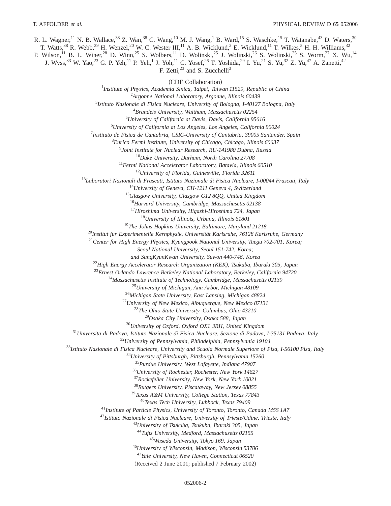R. L. Wagner,<sup>11</sup> N. B. Wallace,<sup>38</sup> Z. Wan,<sup>38</sup> C. Wang,<sup>10</sup> M. J. Wang,<sup>1</sup> B. Ward,<sup>15</sup> S. Waschke,<sup>15</sup> T. Watanabe,<sup>43</sup> D. Waters,<sup>30</sup>

T. Watts,<sup>38</sup> R. Webb,<sup>39</sup> H. Wenzel,<sup>20</sup> W. C. Wester III,<sup>11</sup> A. B. Wicklund,<sup>2</sup> E. Wicklund,<sup>11</sup> T. Wilkes,<sup>5</sup> H. H. Williams,<sup>32</sup>

P. Wilson,<sup>11</sup> B. L. Winer,<sup>28</sup> D. Winn,<sup>25</sup> S. Wolbers,<sup>11</sup> D. Wolinski,<sup>25</sup> J. Wolinski,<sup>26</sup> S. Wolinski,<sup>25</sup> S. Worm,<sup>27</sup> X. Wu,<sup>14</sup>

J. Wyss,<sup>33</sup> W. Yao,<sup>23</sup> G. P. Yeh,<sup>11</sup> P. Yeh,<sup>1</sup> J. Yoh,<sup>11</sup> C. Yosef,<sup>26</sup> T. Yoshida,<sup>29</sup> I. Yu,<sup>21</sup> S. Yu,<sup>32</sup> Z. Yu,<sup>47</sup> A. Zanetti,<sup>42</sup>

F. Zetti, $^{23}$  and S. Zucchelli<sup>3</sup>

<sup>~</sup>CDF Collaboration! *Institute of Physics, Academia Sinica, Taipei, Taiwan 11529, Republic of China*

*Argonne National Laboratory, Argonne, Illinois 60439*

*Istituto Nazionale di Fisica Nucleare, University of Bologna, I-40127 Bologna, Italy*

*Brandeis University, Waltham, Massachusetts 02254*

*University of California at Davis, Davis, California 95616*

*University of California at Los Angeles, Los Angeles, California 90024*

*Instituto de Fisica de Cantabria, CSIC-University of Cantabria, 39005 Santander, Spain*

*Enrico Fermi Institute, University of Chicago, Chicago, Illinois 60637*

*Joint Institute for Nuclear Research, RU-141980 Dubna, Russia*

*Duke University, Durham, North Carolina 27708*

*Fermi National Accelerator Laboratory, Batavia, Illinois 60510*

*University of Florida, Gainesville, Florida 32611*

*Laboratori Nazionali di Frascati, Istituto Nazionale di Fisica Nucleare, I-00044 Frascati, Italy*

*University of Geneva, CH-1211 Geneva 4, Switzerland*

*Glasgow University, Glasgow G12 8QQ, United Kingdom*

*Harvard University, Cambridge, Massachusetts 02138*

*Hiroshima University, Higashi-Hiroshima 724, Japan*

*University of Illinois, Urbana, Illinois 61801*

*The Johns Hopkins University, Baltimore, Maryland 21218*

<sup>20</sup>Institut für Experimentelle Kernphysik, Universität Karlsruhe, 76128 Karlsruhe, Germany

*Center for High Energy Physics, Kyungpook National University, Taegu 702-701, Korea;*

*Seoul National University, Seoul 151-742, Korea;*

*and SungKyunKwan University, Suwon 440-746, Korea*

*High Energy Accelerator Research Organization (KEK), Tsukuba, Ibaraki 305, Japan*

*Ernest Orlando Lawrence Berkeley National Laboratory, Berkeley, California 94720*

*Massachusetts Institute of Technology, Cambridge, Massachusetts 02139*

*University of Michigan, Ann Arbor, Michigan 48109*

*Michigan State University, East Lansing, Michigan 48824*

*University of New Mexico, Albuquerque, New Mexico 87131*

*The Ohio State University, Columbus, Ohio 43210*

*Osaka City University, Osaka 588, Japan*

*University of Oxford, Oxford OX1 3RH, United Kingdom*

*Universita di Padova, Istituto Nazionale di Fisica Nucleare, Sezione di Padova, I-35131 Padova, Italy*

*University of Pennsylvania, Philadelphia, Pennsylvania 19104*

*Istituto Nazionale di Fisica Nucleare, University and Scuola Normale Superiore of Pisa, I-56100 Pisa, Italy*

*University of Pittsburgh, Pittsburgh, Pennsylvania 15260*

*Purdue University, West Lafayette, Indiana 47907*

*University of Rochester, Rochester, New York 14627*

*Rockefeller University, New York, New York 10021*

*Rutgers University, Piscataway, New Jersey 08855*

*Texas A&M University, College Station, Texas 77843*

*Texas Tech University, Lubbock, Texas 79409*

*Institute of Particle Physics, University of Toronto, Toronto, Canada M5S 1A7*

*Istituto Nazionale di Fisica Nucleare, University of Trieste/Udine, Trieste, Italy*

*University of Tsukuba, Tsukuba, Ibaraki 305, Japan*

*Tufts University, Medford, Massachusetts 02155*

*Waseda University, Tokyo 169, Japan*

*University of Wisconsin, Madison, Wisconsin 53706*

*Yale University, New Haven, Connecticut 06520*

(Received 2 June 2001; published 7 February 2002)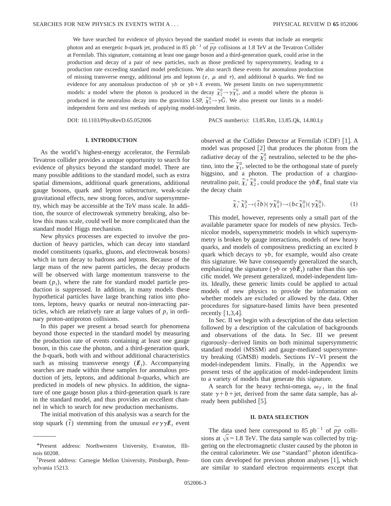We have searched for evidence of physics beyond the standard model in events that include an energetic photon and an energetic *b*-quark jet, produced in 85 pb<sup>-1</sup> of  $\bar{p}p$  collisions at 1.8 TeV at the Tevatron Collider at Fermilab. This signature, containing at least one gauge boson and a third-generation quark, could arise in the production and decay of a pair of new particles, such as those predicted by supersymmetry, leading to a production rate exceeding standard model predictions. We also search these events for anomalous production of missing transverse energy, additional jets and leptons  $(e, \mu$  and  $\tau)$ , and additional *b* quarks. We find no evidence for any anomalous production of  $\gamma b$  or  $\gamma b + X$  events. We present limits on two supersymmetric models: a model where the photon is produced in the decay  $\tilde{\chi}^0_2 \rightarrow \tilde{\chi}^0_1$ , and a model where the photon is produced in the neutralino decay into the gravitino LSP,  $\tilde{\chi}_1^0 \rightarrow \gamma \tilde{G}$ . We also present our limits in a modelindependent form and test methods of applying model-independent limits.

DOI: 10.1103/PhysRevD.65.052006 PACS number(s): 13.85.Rm, 13.85.Qk, 14.80.Ly

## **I. INTRODUCTION**

As the world's highest-energy accelerator, the Fermilab Tevatron collider provides a unique opportunity to search for evidence of physics beyond the standard model. There are many possible additions to the standard model, such as extra spatial dimensions, additional quark generations, additional gauge bosons, quark and lepton substructure, weak-scale gravitational effects, new strong forces, and/or supersymmetry, which may be accessible at the TeV mass scale. In addition, the source of electroweak symmetry breaking, also below this mass scale, could well be more complicated than the standard model Higgs mechanism.

New physics processes are expected to involve the production of heavy particles, which can decay into standard model constituents (quarks, gluons, and electroweak bosons) which in turn decay to hadrons and leptons. Because of the large mass of the new parent particles, the decay products will be observed with large momentum transverse to the beam  $(p_t)$ , where the rate for standard model particle production is suppressed. In addition, in many models these hypothetical particles have large branching ratios into photons, leptons, heavy quarks or neutral non-interacting particles, which are relatively rare at large values of  $p<sub>t</sub>$  in ordinary proton-antiproton collisions.

In this paper we present a broad search for phenomena beyond those expected in the standard model by measuring the production rate of events containing at least one gauge boson, in this case the photon, and a third-generation quark, the *b*-quark, both with and without additional characteristics such as missing transverse energy  $(E_t)$ . Accompanying searches are made within these samples for anomalous production of jets, leptons, and additional *b*-quarks, which are predicted in models of new physics. In addition, the signature of one gauge boson plus a third-generation quark is rare in the standard model, and thus provides an excellent channel in which to search for new production mechanisms.

The initial motivation of this analysis was a search for the stop squark ( $\tilde{t}$ ) stemming from the unusual  $ee \gamma \gamma E_t$  event observed at the Collider Detector at Fermilab (CDF) [1]. A model was proposed  $[2]$  that produces the photon from the radiative decay of the  $\tilde{\chi}_2^0$  neutralino, selected to be the photino, into the  $\tilde{\chi}_1^0$ , selected to be the orthogonal state of purely higgsino, and a photon. The production of a charginoneutralino pair,  $\tilde{\chi}^+_i \tilde{\chi}^0_2$ , could produce the  $\gamma bE_t$  final state via the decay chain

$$
\widetilde{\chi}_i^+ \widetilde{\chi}_2^0 \rightarrow (\widetilde{t}b)(\gamma \widetilde{\chi}_1^0) \rightarrow (bc \widetilde{\chi}_1^0)(\gamma \widetilde{\chi}_1^0). \tag{1}
$$

This model, however, represents only a small part of the available parameter space for models of new physics. Technicolor models, supersymmetric models in which supersymmetry is broken by gauge interactions, models of new heavy quarks, and models of compositness predicting an excited *b* quark which decays to  $\gamma b$ , for example, would also create this signature. We have consequently generalized the search, emphasizing the signature ( $\gamma b$  or  $\gamma b E_t$ ) rather than this specific model. We present generalized, model-independent limits. Ideally, these generic limits could be applied to actual models of new physics to provide the information on whether models are excluded or allowed by the data. Other procedures for signature-based limits have been presented recently  $|1,3,4|$ .

In Sec. II we begin with a description of the data selection followed by a description of the calculation of backgrounds and observations of the data. In Sec. III we present rigorously–derived limits on both minimal supersymmetric standard model (MSSM) and gauge-mediated supersymmetry breaking  $(GMSB)$  models. Sections IV–VI present the model-independent limits. Finally, in the Appendix we present tests of the application of model-independent limits to a variety of models that generate this signature.

A search for the heavy techni-omega,  $\omega_T$ , in the final state  $\gamma + b$ <sup>+</sup> jet, derived from the same data sample, has already been published  $|5|$ .

## **II. DATA SELECTION**

The data used here correspond to 85  $pb^{-1}$  of  $\bar{p}p$  collisions at  $\sqrt{s}$  = 1.8 TeV. The data sample was collected by triggering on the electromagnetic cluster caused by the photon in the central calorimeter. We use ''standard'' photon identification cuts developed for previous photon analyses  $[1]$ , which are similar to standard electron requirements except that

<sup>\*</sup>Present address: Northwestern University, Evanston, Illinois 60208.

<sup>†</sup> Present address: Carnegie Mellon University, Pittsburgh, Pennsylvania 15213.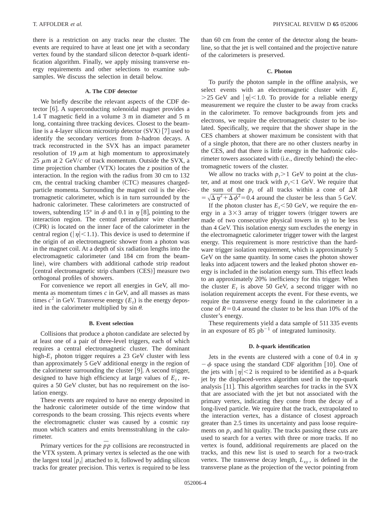there is a restriction on any tracks near the cluster. The events are required to have at least one jet with a secondary vertex found by the standard silicon detector *b*-quark identification algorithm. Finally, we apply missing transverse energy requirements and other selections to examine subsamples. We discuss the selection in detail below.

## **A. The CDF detector**

We briefly describe the relevant aspects of the CDF detector [6]. A superconducting solenoidal magnet provides a 1.4 T magnetic field in a volume 3 m in diameter and 5 m long, containing three tracking devices. Closest to the beamline is a 4-layer silicon microstrip detector  $(SVX)$  [7] used to identify the secondary vertices from *b*-hadron decays. A track reconstructed in the SVX has an impact parameter resolution of 19  $\mu$ m at high momentum to approximately 25  $\mu$ m at 2 GeV/ $c$  of track momentum. Outside the SVX, a time projection chamber (VTX) locates the *z* position of the interaction. In the region with the radius from 30 cm to 132 cm, the central tracking chamber (CTC) measures chargedparticle momenta. Surrounding the magnet coil is the electromagnetic calorimeter, which is in turn surrounded by the hadronic calorimeter. These calorimeters are constructed of towers, subtending 15° in  $\phi$  and 0.1 in  $\eta$  [8], pointing to the interaction region. The central preradiator wire chamber (CPR) is located on the inner face of the calorimeter in the central region ( $|\eta|$ <1.1). This device is used to determine if the origin of an electromagnetic shower from a photon was in the magnet coil. At a depth of six radiation lengths into the  $electromagnetic calorimeter (and 184 cm from the beam$ line), wire chambers with additional cathode strip readout [central electromagnetic strip chambers (CES)] measure two orthogonal profiles of showers.

For convenience we report all energies in GeV, all momenta as momentum times *c* in GeV, and all masses as mass times  $c^2$  in GeV. Transverse energy  $(E_t)$  is the energy deposited in the calorimeter multiplied by  $sin \theta$ .

#### **B. Event selection**

Collisions that produce a photon candidate are selected by at least one of a pair of three-level triggers, each of which requires a central electromagnetic cluster. The dominant high- $E_t$  photon trigger requires a 23 GeV cluster with less than approximately 5 GeV additional energy in the region of the calorimeter surrounding the cluster  $[9]$ . A second trigger, designed to have high efficiency at large values of  $E_t$ , requires a 50 GeV cluster, but has no requirement on the isolation energy.

These events are required to have no energy deposited in the hadronic calorimeter outside of the time window that corresponds to the beam crossing. This rejects events where the electromagnetic cluster was caused by a cosmic ray muon which scatters and emits bremsstrahlung in the calorimeter.

Primary vertices for the  $\bar{p}p$  collisions are reconstructed in the VTX system. A primary vertex is selected as the one with the largest total  $|p_t|$  attached to it, followed by adding silicon tracks for greater precision. This vertex is required to be less than 60 cm from the center of the detector along the beamline, so that the jet is well contained and the projective nature of the calorimeters is preserved.

### **C. Photon**

To purify the photon sample in the offline analysis, we select events with an electromagnetic cluster with  $E_t$  $>$  25 GeV and  $|\eta|$  < 1.0. To provide for a reliable energy measurement we require the cluster to be away from cracks in the calorimeter. To remove backgrounds from jets and electrons, we require the electromagnetic cluster to be isolated. Specifically, we require that the shower shape in the CES chambers at shower maximum be consistent with that of a single photon, that there are no other clusters nearby in the CES, and that there is little energy in the hadronic calorimeter towers associated with (i.e., directly behind) the electromagnetic towers of the cluster.

We allow no tracks with  $p_t > 1$  GeV to point at the cluster, and at most one track with  $p_t < 1$  GeV. We require that the sum of the  $p_t$  of all tracks within a cone of  $\Delta R$  $=\sqrt{\Delta \eta^2 + \Delta \phi^2}$  = 0.4 around the cluster be less than 5 GeV.

If the photon cluster has  $E_t$ <50 GeV, we require the energy in a  $3\times3$  array of trigger towers (trigger towers are made of two consecutive physical towers in  $\eta$ ) to be less than 4 GeV. This isolation energy sum excludes the energy in the electromagnetic calorimeter trigger tower with the largest energy. This requirement is more restrictive than the hardware trigger isolation requirement, which is approximately 5 GeV on the same quantity. In some cases the photon shower leaks into adjacent towers and the leaked photon shower energy is included in the isolation energy sum. This effect leads to an approximately 20% inefficiency for this trigger. When the cluster  $E_t$  is above 50 GeV, a second trigger with no isolation requirement accepts the event. For these events, we require the transverse energy found in the calorimeter in a cone of  $R=0.4$  around the cluster to be less than 10% of the cluster's energy.

These requirements yield a data sample of 511 335 events in an exposure of 85  $pb^{-1}$  of integrated luminosity.

#### **D.** *b***-quark identification**

Jets in the events are clustered with a cone of 0.4 in  $\eta$  $-\phi$  space using the standard CDF algorithm [10]. One of the jets with  $|\eta| < 2$  is required to be identified as a *b*-quark jet by the displaced-vertex algorithm used in the top-quark analysis [11]. This algorithm searches for tracks in the SVX that are associated with the jet but not associated with the primary vertex, indicating they come from the decay of a long-lived particle. We require that the track, extrapolated to the interaction vertex, has a distance of closest approach greater than 2.5 times its uncertainty and pass loose requirements on  $p<sub>t</sub>$  and hit quality. The tracks passing these cuts are used to search for a vertex with three or more tracks. If no vertex is found, additional requirements are placed on the tracks, and this new list is used to search for a two-track vertex. The transverse decay length,  $L_{xy}$ , is defined in the transverse plane as the projection of the vector pointing from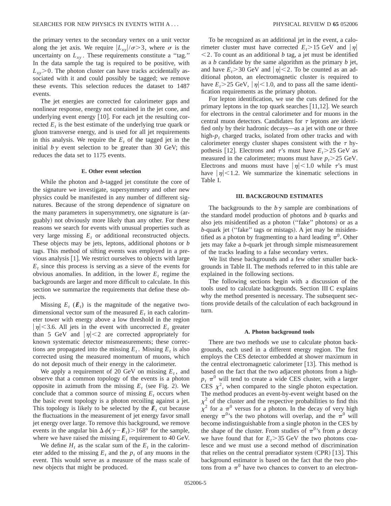the primary vertex to the secondary vertex on a unit vector along the jet axis. We require  $|L_{xy}|/\sigma$  > 3, where  $\sigma$  is the uncertainty on  $L_{xy}$ . These requirements constitute a "tag." In the data sample the tag is required to be positive, with  $L_{xy}$  $>$ 0. The photon cluster can have tracks accidentally associated with it and could possibly be tagged; we remove these events. This selection reduces the dataset to 1487 events.

The jet energies are corrected for calorimeter gaps and nonlinear response, energy not contained in the jet cone, and underlying event energy  $[10]$ . For each jet the resulting corrected  $E_t$  is the best estimate of the underlying true quark or gluon transverse energy, and is used for all jet requirements in this analysis. We require the  $E_t$  of the tagged jet in the initial  $b\gamma$  event selection to be greater than 30 GeV; this reduces the data set to 1175 events.

#### **E. Other event selection**

While the photon and *b*-tagged jet constitute the core of the signature we investigate, supersymmetry and other new physics could be manifested in any number of different signatures. Because of the strong dependence of signature on the many parameters in supersymmetry, one signature is (arguably) not obviously more likely than any other. For these reasons we search for events with unusual properties such as very large missing  $E_t$  or additional reconstructed objects. These objects may be jets, leptons, additional photons or *b* tags. This method of sifting events was employed in a previous analysis  $[1]$ . We restrict ourselves to objects with large  $E_t$  since this process is serving as a sieve of the events for obvious anomalies. In addition, in the lower  $E_t$  regime the backgrounds are larger and more difficult to calculate. In this section we summarize the requirements that define these objects.

Missing  $E_t$  ( $\mathbf{E}_t$ ) is the magnitude of the negative twodimensional vector sum of the measured  $E_t$  in each calorimeter tower with energy above a low threshold in the region  $\eta$  < 3.6. All jets in the event with uncorrected  $E_t$  greater than 5 GeV and  $|\eta| < 2$  are corrected appropriately for known systematic detector mismeasurements; these corrections are propagated into the missing  $E_t$ . Missing  $E_t$  is also corrected using the measured momentum of muons, which do not deposit much of their energy in the calorimeter.

We apply a requirement of 20 GeV on missing  $E_t$ , and observe that a common topology of the events is a photon opposite in azimuth from the missing  $E_t$  (see Fig. 2). We conclude that a common source of missing  $E_t$  occurs when the basic event topology is a photon recoiling against a jet. This topology is likely to be selected by the  $E_t$  cut because the fluctuations in the measurement of jet energy favor small jet energy over large. To remove this background, we remove events in the angular bin  $\Delta \phi(\gamma - \vec{E}_t) > 168^\circ$  for the sample, where we have raised the missing  $E_t$  requirement to 40 GeV.

We define  $H_t$  as the scalar sum of the  $E_t$  in the calorimeter added to the missing  $E_t$  and the  $p_t$  of any muons in the event. This would serve as a measure of the mass scale of new objects that might be produced.

To be recognized as an additional jet in the event, a calorimeter cluster must have corrected  $E_t > 15$  GeV and  $|\eta|$  $\leq$  2. To count as an additional *b* tag, a jet must be identified as a *b* candidate by the same algorithm as the primary *b* jet, and have  $E_t > 30$  GeV and  $|\eta| < 2$ . To be counted as an additional photon, an electromagnetic cluster is required to have  $E_t$  > 25 GeV,  $|\eta|$  < 1.0, and to pass all the same identification requirements as the primary photon.

For lepton identification, we use the cuts defined for the primary leptons in the top quark searches  $[11,12]$ . We search for electrons in the central calorimeter and for muons in the central muon detectors. Candidates for  $\tau$  leptons are identified only by their hadronic decays—as a jet with one or three high-*pt* charged tracks, isolated from other tracks and with calorimeter energy cluster shapes consistent with the  $\tau$  hypothesis [12]. Electrons and  $\tau$ 's must have  $E_t$ >25 GeV as measured in the calorimeter; muons must have  $p_t$   $>$  25 GeV. Electrons and muons must have  $|\eta|$  < 1.0 while  $\tau$ 's must have  $|\eta|$  < 1.2. We summarize the kinematic selections in Table I.

#### **III. BACKGROUND ESTIMATES**

The backgrounds to the  $b\gamma$  sample are combinations of the standard model production of photons and *b* quarks and also jets misidentified as a photon ("fake" photons) or as a *b*-quark jet ("fake" tags or mistags). A jet may be misidentified as a photon by fragmenting to a hard leading  $\pi^0$ . Other jets may fake a *b*-quark jet through simple mismeasurement of the tracks leading to a false secondary vertex.

We list these backgrounds and a few other smaller backgrounds in Table II. The methods referred to in this table are explained in the following sections.

The following sections begin with a discussion of the tools used to calculate backgrounds. Section III C explains why the method presented is necessary. The subsequent sections provide details of the calculation of each background in turn.

#### **A. Photon background tools**

There are two methods we use to calculate photon backgrounds, each used in a different energy region. The first employs the CES detector embedded at shower maximum in the central electromagnetic calorimeter  $[13]$ . This method is based on the fact that the two adjacent photons from a high $p_t \pi^0$  will tend to create a wide CES cluster, with a larger CES  $\chi^2$ , when compared to the single photon expectation. The method produces an event-by-event weight based on the  $\chi^2$  of the cluster and the respective probabilities to find this  $\chi^2$  for a  $\pi^0$  versus for a photon. In the decay of very high energy  $\pi^{0}$ 's the two photons will overlap, and the  $\pi^{0}$  will become indistinguishable from a single photon in the CES by the shape of the cluster. From studies of  $\pi^{0}$ 's from  $\rho$  decay we have found that for  $E_t$ >35 GeV the two photons coalesce and we must use a second method of discrimination that relies on the central preradiator system  $(CPR)$  [13]. This background estimator is based on the fact that the two photons from a  $\pi^0$  have two chances to convert to an electron-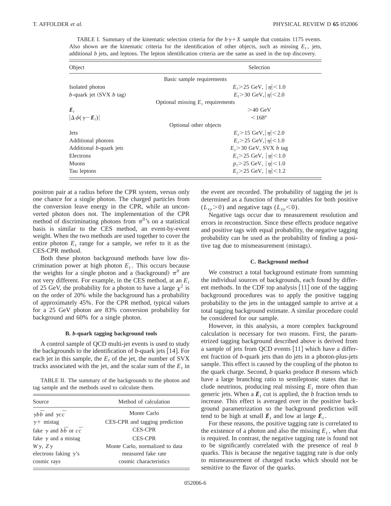TABLE I. Summary of the kinematic selection criteria for the  $b\gamma + X$  sample that contains 1175 events. Also shown are the kinematic criteria for the identification of other objects, such as missing  $E_t$ , jets, additional *b* jets, and leptons. The lepton identification criteria are the same as used in the top discovery.

| Object                          | Selection                           |
|---------------------------------|-------------------------------------|
|                                 | Basic sample requirements           |
| Isolated photon                 | $E_t > 25$ GeV, $ \eta $ < 1.0      |
| b-quark jet $(SVX b tag)$       | $E_r > 30$ GeV, $ \eta  < 2.0$      |
|                                 | Optional missing $E_t$ requirements |
| $E_{t}$                         | $>40$ GeV                           |
| $ \Delta \phi(\gamma - E_i) $   | $\leq 168^\circ$                    |
|                                 | Optional other objects              |
| <b>Jets</b>                     | $E > 15$ GeV, $ \eta $ < 2.0        |
| Additional photons              | $E_r > 25$ GeV, $ \eta $ < 1.0      |
| Additional <i>b</i> -quark jets | $E_r$ > 30 GeV, SVX b tag           |
| Electrons                       | $E_r > 25$ GeV, $ \eta $ < 1.0      |
| <b>Muons</b>                    | $p_r > 25$ GeV, $ \eta $ < 1.0      |
| Tau leptons                     | $E_i > 25$ GeV, $ \eta $ < 1.2      |

positron pair at a radius before the CPR system, versus only one chance for a single photon. The charged particles from the conversion leave energy in the CPR, while an unconverted photon does not. The implementation of the CPR method of discriminating photons from  $\pi^{0}$ 's on a statistical basis is similar to the CES method, an event-by-event weight. When the two methods are used together to cover the entire photon  $E_t$  range for a sample, we refer to it as the CES-CPR method.

Both these photon background methods have low discrimination power at high photon  $E_t$ . This occurs because the weights for a single photon and a (background)  $\pi^0$  are not very different. For example, in the CES method, at an  $E_t$ of 25 GeV, the probability for a photon to have a large  $\chi^2$  is on the order of 20% while the background has a probability of approximately 45%. For the CPR method, typical values for a 25 GeV photon are 83% conversion probability for background and 60% for a single photon.

## **B.** *b***-quark tagging background tools**

A control sample of QCD multi-jet events is used to study the backgrounds to the identification of  $b$ -quark jets  $[14]$ . For each jet in this sample, the  $E_t$  of the jet, the number of SVX tracks associated with the jet, and the scalar sum of the  $E_t$  in

TABLE II. The summary of the backgrounds to the photon and tag sample and the methods used to calculate them.

| Source                                               | Method of calculation           |
|------------------------------------------------------|---------------------------------|
| $\gamma b\bar{b}$ and $\gamma c\bar{c}$              | Monte Carlo                     |
| $\nu$ + mistag                                       | CES-CPR and tagging prediction  |
| fake $\gamma$ and $b\overline{b}$ or $c\overline{c}$ | <b>CES-CPR</b>                  |
| fake $\gamma$ and a mistag                           | <b>CES-CPR</b>                  |
| $W\gamma$ , $Z\gamma$                                | Monte Carlo, normalized to data |
| electrons faking $\gamma$ 's                         | measured fake rate              |
| cosmic rays                                          | cosmic characteristics          |

the event are recorded. The probability of tagging the jet is determined as a function of these variables for both positive  $(L_{xy} > 0)$  and negative tags  $(L_{xy} < 0)$ .

Negative tags occur due to measurement resolution and errors in reconstruction. Since these effects produce negative and positive tags with equal probability, the negative tagging probability can be used as the probability of finding a positive tag due to mismeasurement (mistags).

## **C. Background method**

We construct a total background estimate from summing the individual sources of backgrounds, each found by different methods. In the CDF top analysis  $\lfloor 11 \rfloor$  one of the tagging background procedures was to apply the positive tagging probability to the jets in the untagged sample to arrive at a total tagging background estimate. A similar procedure could be considered for our sample.

However, in this analysis, a more complex background calculation is necessary for two reasons. First, the parametrized tagging background described above is derived from a sample of jets from OCD events  $[11]$  which have a different fraction of *b*-quark jets than do jets in a photon-plus-jets sample. This effect is caused by the coupling of the photon to the quark charge. Second, *b* quarks produce *B* mesons which have a large branching ratio to semileptonic states that include neutrinos, producing real missing  $E_t$  more often than generic jets. When a  $\mathbf{E}_t$  cut is applied, the *b* fraction tends to increase. This effect is averaged over in the positive background parametrization so the background prediction will tend to be high at small  $E_t$  and low at large  $E_t$ .

For these reasons, the positive tagging rate is correlated to the existence of a photon and also the missing  $E_t$ , when that is required. In contrast, the negative tagging rate is found not to be significantly correlated with the presence of real *b* quarks. This is because the negative tagging rate is due only to mismeasurement of charged tracks which should not be sensitive to the flavor of the quarks.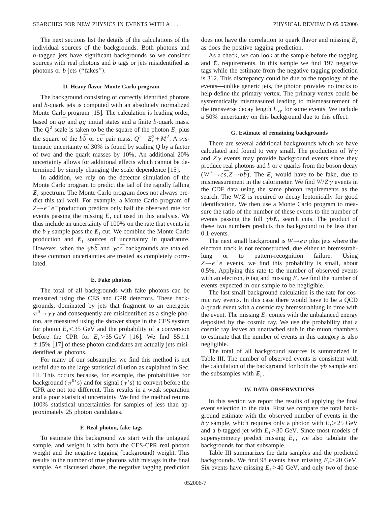The next sections list the details of the calculations of the individual sources of the backgrounds. Both photons and *b*-tagged jets have significant backgrounds so we consider sources with real photons and *b* tags or jets misidentified as photons or  $b$  jets ("fakes").

### **D. Heavy flavor Monte Carlo program**

The background consisting of correctly identified photons and *b*-quark jets is computed with an absolutely normalized Monte Carlo program [15]. The calculation is leading order, based on  $q\bar{q}$  and *gg* initial states and a finite *b*-quark mass. The  $Q^2$  scale is taken to be the square of the photon  $E_t$  plus the square of the  $b\bar{b}$  or  $c\bar{c}$  pair mass,  $Q^2 = E_t^2 + M^2$ . A systematic uncertainty of 30% is found by scaling *Q* by a factor of two and the quark masses by 10%. An additional 20% uncertainty allows for additional effects which cannot be determined by simply changing the scale dependence  $\vert 15 \vert$ .

In addition, we rely on the detector simulation of the Monte Carlo program to predict the tail of the rapidly falling  $E_t$  spectrum. The Monte Carlo program does not always predict this tail well. For example, a Monte Carlo program of  $Z \rightarrow e^+e^-$  production predicts only half the observed rate for events passing the missing  $E_t$  cut used in this analysis. We thus include an uncertainty of 100% on the rate that events in the  $b\gamma$  sample pass the  $E_t$  cut. We combine the Monte Carlo production and  $\mathbf{E}_t$  sources of uncertainty in quadrature. However, when the  $\gamma b\bar{b}$  and  $\gamma c\bar{c}$  backgrounds are totaled, these common uncertainties are treated as completely correlated.

#### **E. Fake photons**

The total of all backgrounds with fake photons can be measured using the CES and CPR detectors. These backgrounds, dominated by jets that fragment to an energetic  $\pi^0 \rightarrow \gamma \gamma$  and consequently are misidentified as a single photon, are measured using the shower shape in the CES system for photon  $E_t$ <35 GeV and the probability of a conversion before the CPR for  $E_t > 35$  GeV [16]. We find  $55 \pm 1$  $\pm$  15% [17] of these photon candidates are actually jets misidentified as photons.

For many of our subsamples we find this method is not useful due to the large statistical dilution as explained in Sec. III. This occurs because, for example, the probabilities for background ( $\pi^{0}$ 's) and for signal ( $\gamma$ 's) to convert before the CPR are not too different. This results in a weak separation and a poor statistical uncertainty. We find the method returns 100% statistical uncertainties for samples of less than approximately 25 photon candidates.

#### **F. Real photon, fake tags**

To estimate this background we start with the untagged sample, and weight it with both the CES-CPR real photon weight and the negative tagging (background) weight. This results in the number of true photons with mistags in the final sample. As discussed above, the negative tagging prediction does not have the correlation to quark flavor and missing  $E_t$ as does the positive tagging prediction.

As a check, we can look at the sample before the tagging and  $\mathbf{E}_t$  requirements. In this sample we find 197 negative tags while the estimate from the negative tagging prediction is 312. This discrepancy could be due to the topology of the events—unlike generic jets, the photon provides no tracks to help define the primary vertex. The primary vertex could be systematically mismeasured leading to mismeasurement of the transverse decay length  $L_{xy}$  for some events. We include a 50% uncertainty on this background due to this effect.

#### **G. Estimate of remaining backgrounds**

There are several additional backgrounds which we have calculated and found to very small. The production of  $W\gamma$ and  $Z\gamma$  events may provide background events since they produce real photons and *b* or *c* quarks from the boson decay  $(W^{\pm} \rightarrow c\bar{s}, Z \rightarrow b\bar{b})$ . The  $E_t$  would have to be fake, due to mismeasurement in the calorimeter. We find  $W/Z\gamma$  events in the CDF data using the same photon requirements as the search. The *W*/*Z* is required to decay leptonically for good identification. We then use a Monte Carlo program to measure the ratio of the number of these events to the number of events passing the full  $\gamma bE_t$  search cuts. The product of these two numbers predicts this background to be less than 0.1 events.

The next small background is  $W \rightarrow e \nu$  plus jets where the electron track is not reconstructed, due either to bremsstrahlung or to pattern-recognition failure. Using  $Z \rightarrow e^+e^-$  events, we find this probability is small, about 0.5%. Applying this rate to the number of observed events with an electron, *b* tag and missing  $E_t$ , we find the number of events expected in our sample to be negligible.

The last small background calculation is the rate for cosmic ray events. In this case there would have to be a QCD *b*-quark event with a cosmic ray bremsstrahlung in time with the event. The missing  $E_t$  comes with the unbalanced energy deposited by the cosmic ray. We use the probability that a cosmic ray leaves an unattached stub in the muon chambers to estimate that the number of events in this category is also negligible.

The total of all background sources is summarized in Table III. The number of observed events is consistent with the calculation of the background for both the  $\gamma b$  sample and the subsamples with  $E_t$ .

### **IV. DATA OBSERVATIONS**

In this section we report the results of applying the final event selection to the data. First we compare the total background estimate with the observed number of events in the  $b\gamma$  sample, which requires only a photon with  $E_t > 25$  GeV and a *b*-tagged jet with  $E_t$  > 30 GeV. Since most models of supersymmetry predict missing  $E_t$ , we also tabulate the backgrounds for that subsample.

Table III summarizes the data samples and the predicted backgrounds. We find 98 events have missing  $E_t > 20$  GeV. Six events have missing  $E_t$  > 40 GeV, and only two of those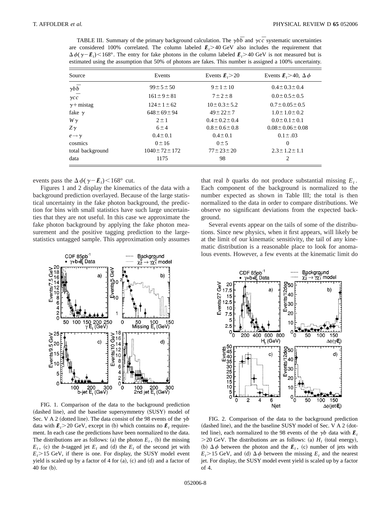TABLE III. Summary of the primary background calculation. The  $\gamma b\bar{b}$  and  $\gamma c\bar{c}$  systematic uncertainties are considered 100% correlated. The column labeled  $E_{\tau}$   $\geq$  40 GeV also includes the requirement that  $\Delta \phi(\gamma - E_t)$  < 168°. The entry for fake photons in the column labeled  $E_t$  > 40 GeV is not measured but is estimated using the assumption that 50% of photons are fakes. This number is assigned a 100% uncertainty.

| Source                 | Events                | Events $\mathbf{E}_{t} > 20$ | Events $\mathbf{E}$ , >40, $\Delta \phi$ |
|------------------------|-----------------------|------------------------------|------------------------------------------|
| $\gamma b\bar{b}$      | $99 \pm 5 \pm 50$     | $9 \pm 1 \pm 10$             | $0.4 \pm 0.3 \pm 0.4$                    |
| $\gamma c \bar{c}$     | $161 \pm 9 \pm 81$    | $7\pm2\pm8$                  | $0.0 \pm 0.5 \pm 0.5$                    |
| $\gamma$ + mistag      | $124 \pm 1 \pm 62$    | $10 \pm 0.3 \pm 5.2$         | $0.7 \pm 0.05 \pm 0.5$                   |
| fake $\gamma$          | $648 \pm 69 \pm 94$   | $49 \pm 22 \pm 7$            | $1.0 \pm 1.0 \pm 0.2$                    |
| $W\gamma$              | $2 \pm 1$             | $0.4 \pm 0.2 \pm 0.4$        | $0.0 \pm 0.1 \pm 0.1$                    |
| $Z\gamma$              | $6 \pm 4$             | $0.8 \pm 0.6 \pm 0.8$        | $0.08 \pm 0.06 \pm 0.08$                 |
| $e \rightarrow \gamma$ | $0.4 \pm 0.1$         | $0.4 \pm 0.1$                | $0.1 \pm .03$                            |
| cosmics                | $0 \pm 16$            | $0 \pm 5$                    | $\Omega$                                 |
| total background       | $1040 \pm 72 \pm 172$ | $77 \pm 23 \pm 20$           | $2.3 \pm 1.2 \pm 1.1$                    |
| data                   | 1175                  | 98                           | 2                                        |

events pass the  $\Delta \phi(\gamma - \mathbf{E}_t)$  < 168° cut.

Figures 1 and 2 display the kinematics of the data with a background prediction overlayed. Because of the large statistical uncertainty in the fake photon background, the prediction for bins with small statistics have such large uncertainties that they are not useful. In this case we approximate the fake photon background by applying the fake photon measurement and the positive tagging prediction to the largestatistics untagged sample. This approximation only assumes that real *b* quarks do not produce substantial missing  $E_t$ . Each component of the background is normalized to the number expected as shown in Table III; the total is then normalized to the data in order to compare distributions. We observe no significant deviations from the expected background.

Several events appear on the tails of some of the distributions. Since new physics, when it first appears, will likely be at the limit of our kinematic sensitivity, the tail of any kinematic distribution is a reasonable place to look for anomalous events. However, a few events at the kinematic limit do



FIG. 1. Comparison of the data to the background prediction (dashed line), and the baseline supersymmetry (SUSY) model of Sec. V A 2 (dotted line). The data consist of the 98 events of the  $\gamma b$ data with  $E_7 > 20$  GeV, except in (b) which contains no  $E_7$  requirement. In each case the predictions have been normalized to the data. The distributions are as follows: (a) the photon  $E_t$ , (b) the missing  $E_t$ , (c) the *b*-tagged jet  $E_t$  and (d) the  $E_t$  of the second jet with  $E_t$  > 15 GeV, if there is one. For display, the SUSY model event yield is scaled up by a factor of  $4$  for  $(a)$ ,  $(c)$  and  $(d)$  and a factor of 40 for  $(b)$ .



FIG. 2. Comparison of the data to the background prediction  $dashed line$ , and the the baseline SUSY model of Sec. V A 2  $doto$ ted line), each normalized to the 98 events of the  $\gamma b$  data with  $\mathbf{E}_t$  $>$  20 GeV. The distributions are as follows: (a)  $H_t$  (total energy), (b)  $\Delta \phi$  between the photon and the  $\mathbf{E}_t$ , (c) number of jets with  $E_t$  is GeV, and (d)  $\Delta \phi$  between the missing  $E_t$  and the nearest jet. For display, the SUSY model event yield is scaled up by a factor of 4.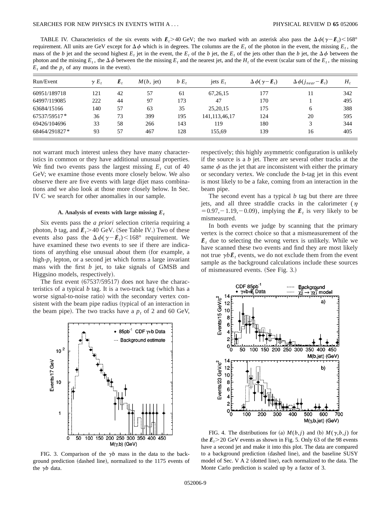TABLE IV. Characteristics of the six events with  $E_7 > 40$  GeV; the two marked with an asterisk also pass the  $\Delta \phi(\gamma - E_7) < 168^\circ$ requirement. All units are GeV except for  $\Delta \phi$  which is in degrees. The columns are the  $E_t$  of the photon in the event, the missing  $E_t$ , the mass of the *b* jet and the second highest  $E_t$  jet in the event, the  $E_t$  of the *b* jet, the  $E_t$  of the jets other than the *b* jet, the  $\Delta \phi$  between the photon and the missing  $E_t$ , the  $\Delta \phi$  between the the missing  $E_t$  and the nearest jet, and the  $H_t$  of the event (scalar sum of the  $E_t$ , the missing  $E_t$  and the  $p_t$  of any muons in the event).

| Run/Event     | $\gamma E_t$ | E, | M(b, jet) | $b E_t$ | jets $E_t$       | $\Delta \phi(\gamma - E_t)$ | $\Delta \phi(j_{near} - \boldsymbol{E}_t)$ | $H_{t}$ |
|---------------|--------------|----|-----------|---------|------------------|-----------------------------|--------------------------------------------|---------|
| 60951/189718  | 121          | 42 | 57        | 61      | 67, 26, 15       | 177                         | 11                                         | 342     |
| 64997/119085  | 222          | 44 | 97        | 173     | 47               | 170                         |                                            | 495     |
| 63684/15166   | 140          | 57 | 63        | 35      | 25, 20, 15       | 175                         | 6                                          | 388     |
| 67537/59517*  | 36           | 73 | 399       | 195     | 141, 113, 46, 17 | 124                         | 20                                         | 595     |
| 69426/104696  | 33           | 58 | 266       | 143     | 119              | 180                         | 3                                          | 344     |
| 68464/291827* | 93           | 57 | 467       | 128     | 155.69           | 139                         | 16                                         | 405     |

not warrant much interest unless they have many characteristics in common or they have additional unusual properties. We find two events pass the largest missing  $E_t$  cut of 40 GeV; we examine those events more closely below. We also observe there are five events with large dijet mass combinations and we also look at those more closely below. In Sec. IV C we search for other anomalies in our sample.

#### A. Analysis of events with large missing  $E_t$

Six events pass the *a priori* selection criteria requiring a photon, *b* tag, and  $E_t$   $>$  40 GeV. (See Table IV.) Two of these events also pass the  $\Delta \phi(\gamma - \vec{E}_t) \le 168^\circ$  requirement. We have examined these two events to see if there are indications of anything else unusual about them (for example, a high- $p_t$  lepton, or a second jet which forms a large invariant mass with the first *b* jet, to take signals of GMSB and Higgsino models, respectively).

The first event  $(67537/59517)$  does not have the characteristics of a typical  $b$  tag. It is a two-track tag (which has a worse signal-to-noise ratio) with the secondary vertex consistent with the beam pipe radius (typical of an interaction in the beam pipe). The two tracks have a  $p_t$  of 2 and 60 GeV,



FIG. 3. Comparison of the  $\gamma b$  mass in the data to the background prediction (dashed line), normalized to the 1175 events of the  $\gamma b$  data.

respectively; this highly asymmetric configuration is unlikely if the source is a *b* jet. There are several other tracks at the same  $\phi$  as the jet that are inconsistent with either the primary or secondary vertex. We conclude the *b*-tag jet in this event is most likely to be a fake, coming from an interaction in the beam pipe.

The second event has a typical *b* tag but there are three jets, and all three straddle cracks in the calorimeter ( $\eta$  $=0.97,-1.19,-0.09$ , implying the  $E_t$  is very likely to be mismeasured.

In both events we judge by scanning that the primary vertex is the correct choice so that a mismeasurement of the  $E_t$  due to selecting the wrong vertex is unlikely. While we have scanned these two events and find they are most likely not true  $\gamma b \mathbf{E}_t$  events, we do not exclude them from the event sample as the background calculations include these sources of mismeasured events. (See Fig. 3.)



FIG. 4. The distributions for (a)  $M(b, j)$  and (b)  $M(\gamma, b, j)$  for the  $E_t$   $>$  20 GeV events as shown in Fig. 5. Only 63 of the 98 events have a second jet and make it into this plot. The data are compared to a background prediction (dashed line), and the baseline SUSY model of Sec. V A 2 (dotted line), each normalized to the data. The Monte Carlo prediction is scaled up by a factor of 3.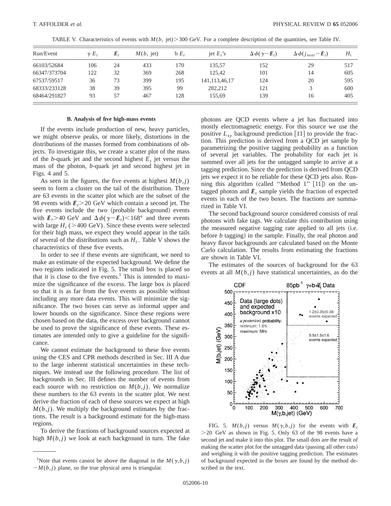| Run/Event    | $\gamma E_t$ | E, | $M(b, \text{jet})$ | $b E_t$ | jet $E$ ,'s      | $\Delta \phi(\gamma - E_i)$ | $\Delta \phi (j_{near} - E_t)$ | $H_{t}$ |
|--------------|--------------|----|--------------------|---------|------------------|-----------------------------|--------------------------------|---------|
| 66103/52684  | 106          | 24 | 433                | 170     | 135.57           | 152                         | 29                             | 517     |
| 66347/373704 | 122          | 32 | 369                | 268     | 125.42           | 101                         | 14                             | 605     |
| 67537/59517  | 36           | 73 | 399                | 195     | 141, 113, 46, 17 | 124                         | 20                             | 595     |
| 68333/233128 | 38           | 39 | 395                | 99      | 282,212          | 121                         |                                | 600     |
| 68464/291827 | 93           | 57 | 467                | 128     | 155.69           | 139                         | 16                             | 405     |

TABLE V. Characteristics of events with  $M(b, jet)$  = 300 GeV. For a complete description of the quantities, see Table IV.

#### **B. Analysis of five high-mass events**

If the events include production of new, heavy particles, we might observe peaks, or more likely, distortions in the distributions of the masses formed from combinations of objects. To investigate this, we create a scatter plot of the mass of the *b*-quark jet and the second highest  $E_t$  jet versus the mass of the photon, *b*-quark jet and second highest jet in Figs. 4 and 5.

As seen in the figures, the five events at highest  $M(b, j)$ seem to form a cluster on the tail of the distribution. There are 63 events in the scatter plot which are the subset of the 98 events with  $E_t$   $>$  20 GeV which contain a second jet. The five events include the two (probable background) events with  $\mathbf{E}_t$  > 40 GeV and  $\Delta \phi(\gamma - \mathbf{E}_t)$  < 168° and three events with large  $H_t$  ( $>$ 400 GeV). Since these events were selected for their high mass, we expect they would appear in the tails of several of the distributions such as  $H_t$ . Table V shows the characteristics of these five events.

In order to see if these events are significant, we need to make an estimate of the expected background. We define the two regions indicated in Fig. 5. The small box is placed so that it is close to the five events.<sup>1</sup> This is intended to maximize the significance of the excess. The large box is placed so that it is as far from the five events as possible without including any more data events. This will minimize the significance. The two boxes can serve as informal upper and lower bounds on the significance. Since these regions were chosen based on the data, the excess over background cannot be used to prove the significance of these events. These estimates are intended only to give a guideline for the significance.

We cannot estimate the background to these five events using the CES and CPR methods described in Sec. III A due to the large inherent statistical uncertainties in these techniques. We instead use the following procedure. The list of backgrounds in Sec. III defines the number of events from each source with no restriction on  $M(b, j)$ . We normalize these numbers to the 63 events in the scatter plot. We next derive the fraction of each of these sources we expect at high  $M(b, j)$ . We multiply the background estimates by the fractions. The result is a background estimate for the high-mass regions.

To derive the fractions of background sources expected at high  $M(b, j)$  we look at each background in turn. The fake photons are QCD events where a jet has fluctuated into mostly electromagnetic energy. For this source we use the positive  $L_{xy}$  background prediction [11] to provide the fraction. This prediction is derived from a QCD jet sample by parametrizing the positive tagging probability as a function of several jet variables. The probability for each jet is summed over all jets for the untagged sample to arrive at a tagging prediction. Since the prediction is derived from QCD jets we expect it to be reliable for these QCD jets also. Running this algorithm (called "Method 1"  $[11]$ ) on the untagged photon and  $\mathbf{E}_t$  sample yields the fraction of expected events in each of the two boxes. The fractions are summarized in Table VI.

The second background source considered consists of real photons with fake tags. We calculate this contribution using the measured negative tagging rate applied to all jets (i.e. before  $b$  tagging) in the sample. Finally, the real photon and heavy flavor backgrounds are calculated based on the Monte Carlo calculation. The results from estimating the fractions are shown in Table VI.

The estimates of the sources of background for the 63 events at all  $M(b, j)$  have statistical uncertainties, as do the



FIG. 5.  $M(b,j)$  versus  $M(\gamma, b, j)$  for the events with  $E_t$ .20 GeV as shown in Fig. 5. Only 63 of the 98 events have a second jet and make it into this plot. The small dots are the result of making the scatter plot for the untagged data (passing all other cuts) and weighing it with the positive tagging prediction. The estimates of background expected in the boxes are found by the method described in the text.

<sup>&</sup>lt;sup>1</sup>Note that events cannot be above the diagonal in the  $M(\gamma, b, j)$ 

 $-M(b, j)$  plane, so the true physical area is triangular.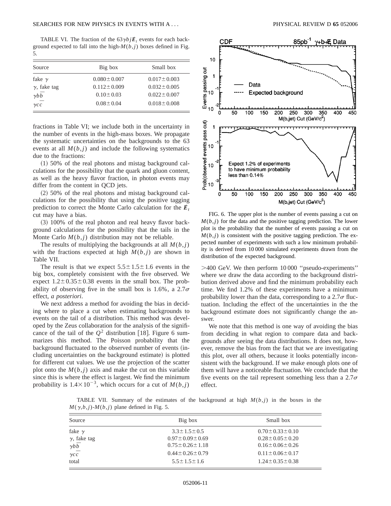TABLE VI. The fraction of the  $63\gamma b jE_t$  events for each background expected to fall into the high- $M(b, j)$  boxes defined in Fig. 5.

| Source              | Big box           | Small box         |
|---------------------|-------------------|-------------------|
| fake $\gamma$       | $0.080 \pm 0.007$ | $0.017 \pm 0.003$ |
| $\gamma$ , fake tag | $0.112 \pm 0.009$ | $0.032 \pm 0.005$ |
| $\gamma b\bar{b}$   | $0.10 \pm 0.03$   | $0.022 \pm 0.007$ |
| $\gamma c \bar{c}$  | $0.08 \pm 0.04$   | $0.018 \pm 0.008$ |

fractions in Table VI; we include both in the uncertainty in the number of events in the high-mass boxes. We propagate the systematic uncertainties on the backgrounds to the 63 events at all  $M(b, j)$  and include the following systematics due to the fractions:

 $(1)$  50% of the real photons and mistag background calculations for the possibility that the quark and gluon content, as well as the heavy flavor fraction, in photon events may differ from the content in QCD jets.

 $(2)$  50% of the real photons and mistag background calculations for the possibility that using the positive tagging prediction to correct the Monte Carlo calculation for the  $\mathbf{E}_t$ cut may have a bias.

 $(3)$  100% of the real photon and real heavy flavor background calculations for the possibility that the tails in the Monte Carlo  $M(b, j)$  distribution may not be reliable.

The results of multiplying the backgrounds at all  $M(b, j)$ with the fractions expected at high  $M(b, j)$  are shown in Table VII.

The result is that we expect  $5.5 \pm 1.5 \pm 1.6$  events in the big box, completely consistent with the five observed. We expect  $1.2 \pm 0.35 \pm 0.38$  events in the small box. The probability of observing five in the small box is 1.6%, a  $2.7\sigma$ effect, *a posteriori*.

We next address a method for avoiding the bias in deciding where to place a cut when estimating backgrounds to events on the tail of a distribution. This method was developed by the Zeus collaboration for the analysis of the significance of the tail of the  $Q^2$  distribution [18]. Figure 6 summarizes this method. The Poisson probability that the background fluctuated to the observed number of events (including uncertainties on the background estimate) is plotted for different cut values. We use the projection of the scatter plot onto the  $M(b, j)$  axis and make the cut on this variable since this is where the effect is largest. We find the minimum probability is  $1.4 \times 10^{-3}$ , which occurs for a cut of  $M(b, j)$ 



FIG. 6. The upper plot is the number of events passing a cut on  $M(b, j)$  for the data and the positive tagging prediction. The lower plot is the probability that the number of events passing a cut on  $M(b, j)$  is consistent with the positive tagging prediction. The expected number of experiments with such a low minimum probability is derived from 10 000 simulated experiments drawn from the distribution of the expected background.

 $>400$  GeV. We then perform 10 000 "pseudo-experiments" where we draw the data according to the background distribution derived above and find the minimum probability each time. We find 1.2% of these experiments have a minimum probability lower than the data, corresponding to a  $2.7\sigma$  fluctuation. Including the effect of the uncertainties in the the background estimate does not significantly change the answer.

We note that this method is one way of avoiding the bias from deciding in what region to compare data and backgrounds after seeing the data distributions. It does not, however, remove the bias from the fact that we are investigating this plot, over all others, because it looks potentially inconsistent with the background. If we make enough plots one of them will have a noticeable fluctuation. We conclude that the five events on the tail represent something less than a  $2.7\sigma$ effect.

TABLE VII. Summary of the estimates of the background at high  $M(b, j)$  in the boxes in the  $M(\gamma, b, j)$ - $M(b, j)$  plane defined in Fig. 5.

| Source              | Big box                  | Small box                |
|---------------------|--------------------------|--------------------------|
| fake $\gamma$       | $3.3 \pm 1.5 \pm 0.5$    | $0.70 \pm 0.33 \pm 0.10$ |
| $\gamma$ , fake tag | $0.97 \pm 0.09 \pm 0.69$ | $0.28 \pm 0.05 \pm 0.20$ |
| $\gamma b\bar{b}$   | $0.75 \pm 0.26 \pm 1.18$ | $0.16 \pm 0.06 \pm 0.26$ |
| $\gamma c\bar{c}$   | $0.44 \pm 0.26 \pm 0.79$ | $0.11 \pm 0.06 \pm 0.17$ |
| total               | $5.5 \pm 1.5 \pm 1.6$    | $1.24 \pm 0.35 \pm 0.38$ |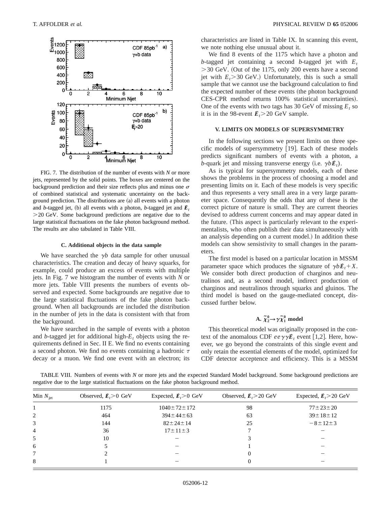

FIG. 7. The distribution of the number of events with *N* or more jets, represented by the solid points. The boxes are centered on the background prediction and their size reflects plus and minus one  $\sigma$ of combined statistical and systematic uncertainty on the background prediction. The distributions are  $(a)$  all events with a photon and *b*-tagged jet, (b) all events with a photon, *b*-tagged jet and  $E_t$  $>$  20 GeV. Some background predictions are negative due to the large statistical fluctuations on the fake photon background method. The results are also tabulated in Table VIII.

#### **C. Additional objects in the data sample**

We have searched the  $\gamma b$  data sample for other unusual characteristics. The creation and decay of heavy squarks, for example, could produce an excess of events with multiple jets. In Fig. 7 we histogram the number of events with *N* or more jets. Table VIII presents the numbers of events observed and expected. Some backgrounds are negative due to the large statistical fluctuations of the fake photon background. When all backgrounds are included the distribution in the number of jets in the data is consistent with that from the background.

We have searched in the sample of events with a photon and *b*-tagged jet for additional high- $E_t$  objects using the requirements defined in Sec. II E. We find no events containing a second photon. We find no events containing a hadronic  $\tau$ decay or a muon. We find one event with an electron; its characteristics are listed in Table IX. In scanning this event, we note nothing else unusual about it.

We find 8 events of the 1175 which have a photon and *b*-tagged jet containing a second *b*-tagged jet with  $E_t$  $>$  30 GeV. (Out of the 1175, only 200 events have a second jet with  $E_t$  > 30 GeV.) Unfortunately, this is such a small sample that we cannot use the background calculation to find the expected number of these events (the photon background CES-CPR method returns 100% statistical uncertainties). One of the events with two tags has 30 GeV of missing  $E_t$  so it is in the 98-event  $E_t$  > 20 GeV sample.

## **V. LIMITS ON MODELS OF SUPERSYMMETRY**

In the following sections we present limits on three specific models of supersymmetry  $[19]$ . Each of these models predicts significant numbers of events with a photon, a *b*-quark jet and missing transverse energy (i.e.  $\gamma bE_t$ ).

As is typical for supersymmetry models, each of these shows the problems in the process of choosing a model and presenting limits on it. Each of these models is very specific and thus represents a very small area in a very large parameter space. Consequently the odds that any of these is the correct picture of nature is small. They are current theories devised to address current concerns and may appear dated in the future. (This aspect is particularly relevant to the experimentalists, who often publish their data simultaneously with an analysis depending on a current model.) In addition these models can show sensistivity to small changes in the parameters.

The first model is based on a particular location in MSSM parameter space which produces the signature of  $\gamma bE_t + X$ . We consider both direct production of charginos and neutralinos and, as a second model, indirect production of charginos and neutralinos through squarks and gluinos. The third model is based on the gauge-mediated concept, discussed further below.

# A.  $\tilde{\chi}_2^0 \rightarrow \gamma \tilde{\chi}_1^0$  model

This theoretical model was originally proposed in the context of the anomalous CDF  $ee\gamma\gamma E_t$  event [1,2]. Here, however, we go beyond the constraints of this single event and only retain the essential elements of the model, optimized for CDF detector acceptence and efficiency. This is a MSSM

TABLE VIII. Numbers of events with *N* or more jets and the expected Standard Model background. Some background predictions are negative due to the large statistical fluctuations on the fake photon background method.

| Min $N_{\text{jet}}$ | Observed, $\dot{E}_t > 0$ GeV | Expected, $\mathbf{E}_{t} > 0$ GeV | Observed, $E_r > 20$ GeV | Expected, $E_t$ > 20 GeV |
|----------------------|-------------------------------|------------------------------------|--------------------------|--------------------------|
|                      | 1175                          | $1040 \pm 72 \pm 172$              | 98                       | $77 \pm 23 \pm 20$       |
| 2                    | 464                           | $394 \pm 44 \pm 63$                | 63                       | $39 \pm 18 \pm 12$       |
| 3                    | 144                           | $82 \pm 24 \pm 14$                 | 25                       | $-8 \pm 12 \pm 3$        |
| 4                    | 36                            | $17 \pm 11 \pm 3$                  |                          |                          |
| 5                    | 10                            |                                    |                          |                          |
| 6                    |                               |                                    |                          |                          |
|                      |                               |                                    |                          |                          |
| 8                    |                               |                                    |                          |                          |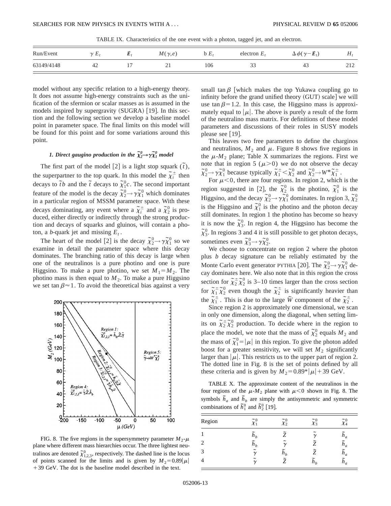TABLE IX. Characteristics of the one event with a photon, tagged jet, and an electron.

| Run/Event  | $\gamma$ $L_t$ |                          | $M(\gamma,e)$ | $\sim$<br>b E, | electron $E_t$ | $\Delta \phi(\gamma - \vec{E}_t)$ | $\mathbf{11}$                |
|------------|----------------|--------------------------|---------------|----------------|----------------|-----------------------------------|------------------------------|
| 63149/4148 | 42             | $\overline{\phantom{0}}$ | $\sim$ 1      | 106            | $\sim$<br>ں ر  | 4                                 | $\bigcap$ 1 $\bigcap$<br>212 |

model without any specific relation to a high-energy theory. It does not assume high-energy constraints such as the unification of the sfermion or scalar masses as is assumed in the models inspired by supergravity  $(SUGRA)$  [19]. In this section and the following section we develop a baseline model point in parameter space. The final limits on this model will be found for this point and for some variations around this point.

# *1. Direct gaugino production in the*  $\tilde{\chi}^0_2 \rightarrow \tilde{\chi}^0_1$  model

The first part of the model [2] is a light stop squark  $(\tilde{t})$ , the superpartner to the top quark. In this model the  $\tilde{\chi}^{\pm}_{i}$  then decays to  $\tilde{t}b$  and the  $\tilde{t}$  decays to  $\tilde{\chi}_1^0c$ . The second important feature of the model is the decay  $\tilde{\chi}_2^0 \rightarrow \gamma \tilde{\chi}_1^0$  which dominates in a particular region of MSSM parameter space. With these decays dominating, any event where a  $\tilde{\chi}^{\pm}$  and a  $\tilde{\chi}^0$  is produced, either directly or indirectly through the strong production and decays of squarks and gluinos, will contain a photon, a *b*-quark jet and missing  $E_t$ .

The heart of the model [2] is the decay  $\tilde{\chi}^0_2 \rightarrow \gamma \tilde{\chi}^0_1$  so we examine in detail the parameter space where this decay dominates. The branching ratio of this decay is large when one of the neutralinos is a pure photino and one is pure Higgsino. To make a pure photino, we set  $M_1 = M_2$ . The photino mass is then equal to  $M_2$ . To make a pure Higgsino we set tan  $\beta \approx 1$ . To avoid the theoretical bias against a very



FIG. 8. The five regions in the supersymmetry parameter  $M_2$ - $\mu$ plane where different mass hierarchies occur. The three lightest neutralinos are denoted  $\tilde{\chi}_{1,2,3}^0$ , respectively. The dashed line is the locus of points scanned for the limits and is given by  $M_2=0.89|\mu|$ +39 GeV. The dot is the baseline model described in the text.

small tan  $\beta$  [which makes the top Yukawa coupling go to infinity before the grand unified theory  $(GUT)$  scale] we will use tan  $\beta$ =1.2. In this case, the Higgsino mass is approximately equal to  $|\mu|$ . The above is purely a result of the form of the neutralino mass matrix. For definitions of these model parameters and discussions of their roles in SUSY models please see  $[19]$ .

This leaves two free parameters to define the charginos and neutralinos,  $M_2$  and  $\mu$ . Figure 8 shows five regions in the  $\mu$ - $M_2$  plane; Table X summarizes the regions. First we note that in region 5 ( $\mu$ >0) we do not observe the decay  $\tilde{\chi}_2^0 \rightarrow \gamma \tilde{\chi}_1^0$  because typically  $\tilde{\chi}_1^{\pm} < \tilde{\chi}_2^0$  and  $\tilde{\chi}_2^0 \rightarrow W^* \tilde{\chi}_1^{\pm}$ .

For  $\mu$  < 0, there are four regions. In region 2, which is the region suggested in [2], the  $\tilde{\chi}^0$  is the photino,  $\tilde{\chi}^0$  is the Higgsino, and the decay  $\tilde{\chi}_2^0 \rightarrow \gamma \tilde{\chi}_1^0$  dominates. In region 3,  $\tilde{\chi}_2^0$ is the Higgsino and  $\tilde{\chi}_1^0$  is the photino and the photon decay still dominates. In region 1 the photino has become so heavy it is now the  $\tilde{\chi}^0_3$ . In region 4, the Higgsino has become the  $\tilde{\chi}^0_3$ . In regions 3 and 4 it is still possible to get photon decays, sometimes even  $\tilde{\chi}_3^0 \rightarrow \gamma \tilde{\chi}_2^0$ .

We choose to concentrate on region 2 where the photon plus *b* decay signature can be reliably estimated by the Monte Carlo event generator PYTHIA [20]. The  $\tilde{\chi}_2^0 \rightarrow \tilde{\chi}_1^0$  decay dominates here. We also note that in this region the cross section for  $\tilde{\chi}_2^{\pm} \tilde{\chi}_2^0$  is 3–10 times larger than the cross section for  $\tilde{\chi}_1^{\pm} \tilde{\chi}_2^0$  even though the  $\tilde{\chi}_2^{\pm}$  is significantly heavier than the  $\tilde{\chi}_1^{\pm}$ . This is due to the large  $\tilde{W}$  component of the  $\tilde{\chi}_2^{\pm}$ .

Since region 2 is approximately one dimensional, we scan in only one dimension, along the diagonal, when setting limits on  $\tilde{\chi}_2^2 \tilde{\chi}_2^0$  production. To decide where in the region to place the model, we note that the mass of  $\tilde{\chi}_2^0$  equals  $M_2$  and the mass of  $\tilde{\chi}_1^0 = |\mu|$  in this region. To give the photon added boost for a greater sensitivity, we will set  $M_2$  significantly larger than  $|\mu|$ . This restricts us to the upper part of region 2. The dotted line in Fig. 8 is the set of points defined by all these criteria and is given by  $M_2=0.89*|\mu|+39$  GeV.

TABLE X. The approximate content of the neutralinos in the four regions of the  $\mu$ -*M*<sub>2</sub> plane with  $\mu$ <0 shown in Fig. 8. The symbols  $\tilde{h}_a$  and  $\tilde{h}_b$  are simply the antisymmetric and symmetric combinations of  $\overline{h}_1^0$  and  $\overline{h}_2^0$  [19].

| Region         | $\widetilde{\mathbf{v}}^0$ |             |                       |               |
|----------------|----------------------------|-------------|-----------------------|---------------|
|                | $\tilde{h}_b$              | Ĩ.          | $\tilde{\phantom{a}}$ | $h_a$         |
| $\overline{c}$ | $\tilde{h}_b$              | $\tilde{}$  | 7                     | $\tilde{h}_a$ |
| 3              | $\tilde{\phantom{a}}$      | $\bar{h}_b$ | Ĩ.                    | $h_a$         |
| $\overline{4}$ | $\tilde{}$                 | Ĩ.          | $\tilde{h}_b$         | $n_a$         |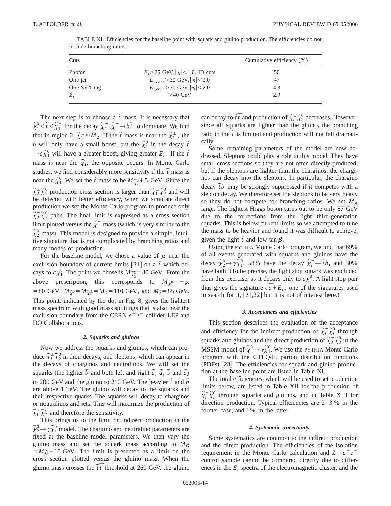| Cuts        |                                         | Cumulative efficiency (%) |
|-------------|-----------------------------------------|---------------------------|
| Photon      | $E_t$ > 25 GeV, $ \eta $ < 1.0, ID cuts | 50                        |
| One jet     | $E_{t,corr}$ > 30 GeV, $ \eta $ < 2.0   | -47                       |
| One SVX tag | $E_{t,corr}$ > 30 GeV, $ \eta $ < 2.0   | 4.3                       |
| Ė,          | $>40$ GeV                               | 2.9                       |

TABLE XI. Efficiencies for the baseline point with squark and gluino production. The efficiencies do not include branching ratios.

The next step is to choose a  $\tilde{t}$  mass. It is necessary that  $\tilde{\chi}_1^0 < \tilde{t} < \tilde{\chi}_1^{\pm}$  for the decay  $\tilde{\chi}_1^{\pm}, \tilde{\chi}_2^{\pm} \rightarrow b\tilde{t}$  to dominate. We find that in region 2,  $\tilde{\chi}_1^{\pm} \approx M_2$ . If the  $\tilde{t}$  mass is near the  $\tilde{\chi}_1^{\pm}$ , the *b* will only have a small boost, but the  $\tilde{\chi}_1^0$  in the decay  $\tilde{t}$  $\rightarrow c\tilde{\chi}_{1}^{0}$  will have a greater boost, giving greater  $\mathbf{E}_{t}$ . If the  $\tilde{t}$ mass is near the  $\tilde{\chi}_1^0$ , the opposite occurs. In Monte Carlo studies, we find considerably more sensitivity if the  $\tilde{t}$  mass is near the  $\tilde{\chi}^0_1$ . We set the  $\tilde{t}$  mass to be  $M_{\tilde{\chi}^0_1}$ +5 GeV. Since the  $\tilde{\chi}_2^{\pm} \tilde{\chi}_2^0$  production cross section is larger than  $\tilde{\chi}_1^{\pm} \tilde{\chi}_2^0$  and will be detected with better efficiency, when we simulate direct production we set the Monte Carlo program to produce only  $\tilde{\chi}_2^{\pm} \tilde{\chi}_2^0$  pairs. The final limit is expressed as a cross section limit plotted versus the  $\tilde{\chi}_2^{\pm}$  mass (which is very similar to the  $\tilde{\chi}^0_2$  mass). This model is designed to provide a simple, intuitive signature that is not complicated by branching ratios and many modes of production.

For the baseline model, we chose a value of  $\mu$  near the exclusion boundary of current limits [21] on a  $\tilde{t}$  which decays to  $c\chi_1^0$ . The point we chose is  $M_{\tilde{\chi}_1^0} = 80$  GeV. From the above prescription, this corresponds to  $M_{\tilde{\chi}_1^0} = -\mu$ = 80 GeV,  $M_{\tilde{\chi}_{2}^{0}} = M_{\tilde{\chi}_{1}^{\pm}} = M_{2} = 110$  GeV, and  $M_{\tilde{\tau}} = 85$  GeV. This point, indicated by the dot in Fig. 8, gives the lightest mass spectrum with good mass splittings that is also near the exclusion boundary from the CERN  $e^+e^-$  collider LEP and DO Collaborations.

## *2. Squarks and gluinos*

Now we address the squarks and gluinos, which can produce  $\tilde{\chi}^{\pm}_i \tilde{\chi}^0_2$  in their decays, and sleptons, which can appear in the decays of charginos and neutralinos. We will set the squarks (the lighter  $\bar{b}$  and both left and right  $\tilde{u}$ ,  $\tilde{d}$ ,  $\tilde{s}$  and  $\tilde{c}$ ) to 200 GeV and the gluino to 210 GeV. The heavier  $\tilde{t}$  and  $\tilde{b}$ are above 1 TeV. The gluino will decay to the squarks and their respective quarks. The squarks will decay to charginos or neutralinos and jets. This will maximize the production of  $\tilde{\chi}^{\pm}_{i} \tilde{\chi}^{0}_{2}$  and therefore the sensitivity.

This brings us to the limit on indirect production in the  $\tilde{\chi}^0_2 \rightarrow \tilde{\chi}^0_1$  model. The chargino and neutralino parameters are fixed at the baseline model parameters. We then vary the gluino mass and set the squark mass according to  $M_{\tilde{G}}$  $= M_{\tilde{Q}} + 10$  GeV. The limit is presented as a limit on the cross section plotted versus the gluino mass. When the gluino mass crosses the  $\tilde{t}$  threshold at 260 GeV, the gluino

can decay to  $\tilde{t}$   $\tilde{t}$  and production of  $\tilde{\chi}^{\pm}_{i} \tilde{\chi}^{0}_{2}$  decreases. However, since all squarks are lighter than the gluino, the branching ratio to the  $\tilde{t}$  is limited and production will not fall dramatically.

Some remaining parameters of the model are now addressed. Sleptons could play a role in this model. They have small cross sections so they are not often directly produced, but if the sleptons are lighter than the charginos, the charginos can decay into the sleptons. In particular, the chargino  $\frac{1}{2}$   $\frac{1}{2}$   $\frac{1}{2}$   $\frac{1}{2}$   $\frac{1}{2}$   $\frac{1}{2}$   $\frac{1}{2}$   $\frac{1}{2}$   $\frac{1}{2}$   $\frac{1}{2}$   $\frac{1}{2}$   $\frac{1}{2}$   $\frac{1}{2}$   $\frac{1}{2}$   $\frac{1}{2}$   $\frac{1}{2}$   $\frac{1}{2}$   $\frac{1}{2}$   $\frac{1}{2}$   $\frac{1}{2}$   $\frac{1}{2}$   $\frac{1}{2}$  slepton decay. We therefore set the sleptons to be very heavy so they do not compete for branching ratios. We set  $M_A$ large. The lightest Higgs boson turns out to be only 87 GeV due to the corrections from the light third-generation squarks. This is below current limits so we attempted to tune the mass to be heavier and found it was difficult to achieve, given the light  $\tilde{t}$  and low tan  $\beta$ .

Using the PYTHIA Monte Carlo program, we find that 69% of all events generated with squarks and gluinos have the decay  $\tilde{\chi}_2^0 \rightarrow \tilde{\chi}_1^0$ , 58% have the decay  $\tilde{\chi}_i^{\pm} \rightarrow \tilde{t}b$ , and 30% have both. (To be precise, the light stop squark was excluded from this exercise, as it decays only to  $c\chi_1^0$ . A light stop pair thus gives the signature  $c\bar{c} + \mathbf{E}_t$ , one of the signatures used to search for it,  $[21,22]$  but it is not of interest here.)

## *3. Acceptances and efficiencies*

This section describes the evaluation of the acceptance and efficiency for the indirect production of  $\tilde{\chi}^{\pm}_{i} \tilde{\chi}^{0}_{i}$  through squarks and gluinos and the direct production of  $\tilde{\chi}_2^{\pm} \tilde{\chi}_2^0$  in the MSSM model of  $\tilde{\chi}_2^0 \rightarrow \gamma \tilde{\chi}_1^0$ . We use the PYTHIA Monte Carlo program with the CTEQ4L parton distribution functions  $(PDFs)$  [23]. The efficiencies for squark and gluino production at the baseline point are listed in Table XI.

The total efficiencies, which will be used to set production limits below, are listed in Table XII for the production of  $\tilde{\chi}^{\pm}_{i} \tilde{\chi}^{0}_{i}$  through squarks and gluinos, and in Table XIII for direction production. Typical efficiencies are  $2-3$  % in the former case, and 1% in the latter.

#### *4. Systematic uncertainty*

Some systematics are common to the indirect production and the direct production. The efficiencies of the isolation requirement in the Monte Carlo calculation and  $Z \rightarrow e^+e^$ control sample cannot be compared directly due to differences in the  $E_t$  spectra of the electromagnetic cluster, and the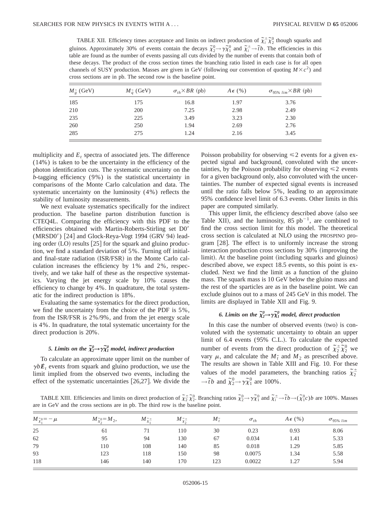TABLE XII. Efficiency times acceptance and limits on indirect production of  $\tilde{\chi}^{\pm}_i \tilde{\chi}^0_2$  though squarks and gluinos. Approximately 30% of events contain the decays  $\tilde{\chi}^0_2 \rightarrow \gamma \tilde{\chi}^0_1$  and  $\tilde{\chi}^{\pm}_i \rightarrow \tilde{t}b$ . The efficiencies in this table are found as the number of events passing all cuts divided by the number of events that contain both of these decays. The product of the cross section times the branching ratio listed in each case is for all open channels of SUSY production. Masses are given in GeV (following our convention of quoting  $M \times c^2$ ) and cross sections are in pb. The second row is the baseline point.

| $M_{\tilde{g}}$ (GeV) | $M_{\tilde{a}}$ (GeV) | $\sigma_{th} \times BR$ (pb) | $A \in (% )$ | $\sigma_{95\% \, lim} \times BR$ (pb) |
|-----------------------|-----------------------|------------------------------|--------------|---------------------------------------|
| 185                   | 175                   | 16.8                         | 1.97         | 3.76                                  |
| 210                   | <b>200</b>            | 7.25                         | 2.98         | 2.49                                  |
| 235                   | 225                   | 3.49                         | 3.23         | 2.30                                  |
| 260                   | 250                   | 1.94                         | 2.69         | 2.76                                  |
| 285                   | 275                   | 1.24                         | 2.16         | 3.45                                  |

multiplicity and  $E_t$  spectra of associated jets. The difference (14%) is taken to be the uncertainty in the efficiency of the photon identification cuts. The systematic uncertainty on the *b*-tagging efficiency (9%) is the statistical uncertainty in comparisons of the Monte Carlo calculation and data. The systematic uncertainty on the luminosity (4%) reflects the stability of luminosity measurements.

We next evaluate systematics specifically for the indirect production. The baseline parton distribution function is CTEQ4L. Comparing the efficiency with this PDF to the efficiencies obtained with Martin-Roberts-Stirling set D0'  $(MRSD0')$  [24] and Glock-Reya-Vogt 1994  $(GRV 94)$  leading order  $(LO)$  results  $[25]$  for the squark and gluino production, we find a standard deviation of 5%. Turning off initialand final-state radiation (ISR/FSR) in the Monte Carlo calculation increases the efficiency by 1% and 2%, respectively, and we take half of these as the respective systematics. Varying the jet energy scale by 10% causes the efficiency to change by 4%. In quadrature, the total systematic for the indirect production is 18%.

Evaluating the same systematics for the direct production, we find the uncertainty from the choice of the PDF is 5%, from the ISR/FSR is 2%/9%, and from the jet energy scale is 4%. In quadrature, the total systematic uncertainty for the direct production is 20%.

# 5. Limits on the  $\tilde{\chi}^0_2 \rightarrow \tilde{\chi}^0_1$  model, indirect production

To calculate an approximate upper limit on the number of  $\gamma b \mathbf{E}_t$  events from squark and gluino production, we use the limit implied from the observed two events, including the effect of the systematic uncertainties  $[26,27]$ . We divide the Poisson probability for observing  $\leq 2$  events for a given expected signal and background, convoluted with the uncertainties, by the Poisson probability for observing  $\leq 2$  events for a given background only, also convoluted with the uncertainties. The number of expected signal events is increased until the ratio falls below 5%, leading to an approximate 95% confidence level limit of 6.3 events. Other limits in this paper are computed similarly.

This upper limit, the efficiency described above (also see Table XII), and the luminosity,  $85 \text{ pb}^{-1}$ , are combined to find the cross section limit for this model. The theoretical cross section is calculated at NLO using the PROSPINO program  $[28]$ . The effect is to uniformly increase the strong interaction production cross sections by 30% (improving the limit). At the baseline point (including squarks and gluinos) described above, we expect 18.5 events, so this point is excluded. Next we find the limit as a function of the gluino mass. The squark mass is 10 GeV below the gluino mass and the rest of the sparticles are as in the baseline point. We can exclude gluinos out to a mass of 245 GeV in this model. The limits are displayed in Table XII and Fig. 9.

# 6. Limits on the  $\tilde{\chi}^0_2 \rightarrow \tilde{\chi}^0_1$  model, direct production

In this case the number of observed events  $(two)$  is convoluted with the systematic uncertainty to obtain an upper limit of 6.4 events (95% C.L.). To calculate the expected number of events from the direct production of  $\tilde{\chi}_2^{\pm} \tilde{\chi}_2^0$  we vary  $\mu$ , and calculate the  $M_t$ <sup> $\tau$ </sup> and  $M_2$  as prescribed above. The results are shown in Table XIII and Fig. 10. For these values of the model parameters, the branching ratios  $\tilde{\chi}^{\pm}$  $\rightarrow$   $\tilde{t}b$  and  $\tilde{\chi}_2^0 \rightarrow \gamma \tilde{\chi}_1^0$  are 100%.

TABLE XIII. Efficiencies and limits on direct production of  $\tilde{\chi}_2^{\pm} \tilde{\chi}_2^0$ . Branching ratios  $\tilde{\chi}_2^0 \to \gamma \tilde{\chi}_1^0$  and  $\tilde{\chi}_i^{\pm} \to \tilde{t}b \to (\tilde{\chi}_1^0 c)b$  are 100%. Masses are in GeV and the cross sections are in pb. The third row is the baseline point.

| $M_{\tilde{\chi}_{1}^{0}} = -\mu$ | $M_{\tilde{\chi}_{2}^{0}} = M_{2},$ | $M_{\tilde{\chi}^{\pm}_1}$ | $M_{\tilde{\chi}^{\pm}_{2}}$ | $M_{\tilde{t}}$ | $\sigma_{th}$ | $A \in (% )$ | $\sigma_{95\% \, lim}$ |
|-----------------------------------|-------------------------------------|----------------------------|------------------------------|-----------------|---------------|--------------|------------------------|
| 25                                | 61                                  | 71                         | 110                          | 30              | 0.23          | 0.93         | 8.06                   |
| 62                                | 95                                  | 94                         | 130                          | 67              | 0.034         | 1.41         | 5.33                   |
| 79                                | 110                                 | 108                        | 140                          | 85              | 0.018         | 1.29         | 5.85                   |
| 93                                | 123                                 | 118                        | 150                          | 98              | 0.0075        | 1.34         | 5.58                   |
| 118                               | 146                                 | 140                        | 170                          | 123             | 0.0022        | 1.27         | 5.94                   |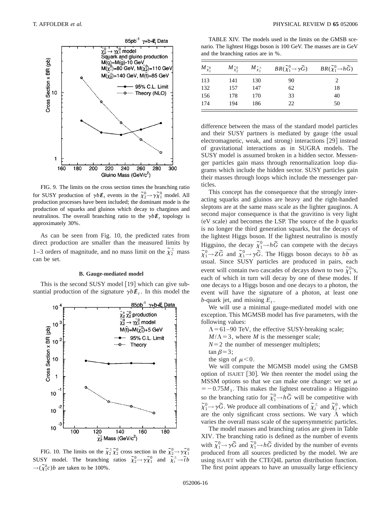

FIG. 9. The limits on the cross section times the branching ratio for SUSY production of  $\gamma b \mathbf{E}_t$  events in the  $\tilde{\chi}_2^0 \rightarrow \gamma \tilde{\chi}_1^0$  model. All production processes have been included; the dominant mode is the production of squarks and gluinos which decay to charginos and neutralinos. The overall branching ratio to the  $\gamma b E_t$  topology is approximately 30%.

As can be seen from Fig. 10, the predicted rates from direct production are smaller than the measured limits by 1–3 orders of magnitude, and no mass limit on the  $\tilde{\chi}^{\pm}$  mass can be set.

## **B. Gauge-mediated model**

This is the second SUSY model  $[19]$  which can give substantial production of the signature  $\gamma bE_t$ . In this model the



FIG. 10. The limits on the  $\tilde{\chi}_2^{\pm} \tilde{\chi}_2^0$  cross section in the  $\tilde{\chi}_2^0 \rightarrow \tilde{\chi}_1^0$ SUSY model. The branching ratios  $\tilde{\chi}_2^0 \rightarrow \gamma \tilde{\chi}_1^0$  and  $\tilde{\chi}_i^{\pm} \rightarrow \tilde{t} b$  $\rightarrow$   $(\tilde{\chi}_1^0 c) b$  are taken to be 100%.

TABLE XIV. The models used in the limits on the GMSB scenario. The lightest Higgs boson is 100 GeV. The masses are in GeV and the branching ratios are in %.

| $M_{\widetilde{\chi}_1^0}$ | $M_{\widetilde{\chi}_{2}^{0}}$ |     | $M_{\widetilde{\chi}_1^{\pm}}$ $BR(\widetilde{\chi}_1^0 \rightarrow \gamma \widetilde{G})$ $BR(\widetilde{\chi}_1^0 \rightarrow h \widetilde{G})$ |    |
|----------------------------|--------------------------------|-----|---------------------------------------------------------------------------------------------------------------------------------------------------|----|
| 113                        | 141                            | 130 | 90                                                                                                                                                |    |
| 132                        | 157                            | 147 | 62                                                                                                                                                | 18 |
| 156                        | 178                            | 170 | 33                                                                                                                                                | 40 |
| 174                        | 194                            | 186 | 22                                                                                                                                                | 50 |

difference between the mass of the standard model particles and their SUSY partners is mediated by gauge (the usual electromagnetic, weak, and strong) interactions  $[29]$  instead of gravitational interactions as in SUGRA models. The SUSY model is assumed broken in a hidden sector. Messenger particles gain mass through renormalization loop diagrams which include the hidden sector. SUSY particles gain their masses through loops which include the messenger particles.

This concept has the consequence that the strongly interacting squarks and gluinos are heavy and the right-handed sleptons are at the same mass scale as the lighter gauginos. A second major consequence is that the gravitino is very light (eV scale) and becomes the LSP. The source of the *b* quarks is no longer the third generation squarks, but the decays of the lightest Higgs boson. If the lightest neutralino is mostly Higgsino, the decay  $\tilde{\chi}_1^0 \rightarrow h\tilde{G}$  can compete with the decays  $\tilde{\chi}_1^0 \rightarrow Z \tilde{G}$  and  $\tilde{\chi}_1^0 \rightarrow \gamma \tilde{G}$ . The Higgs boson decays to  $b\bar{b}$  as usual. Since SUSY particles are produced in pairs, each event will contain two cascades of decays down to two  $\tilde{\chi}_1^{0}$ 's, each of which in turn will decay by one of these modes. If one decays to a Higgs boson and one decays to a photon, the event will have the signature of a photon, at least one *b*-quark jet, and missing  $E_t$ .

We will use a minimal gauge-mediated model with one exception. This MGMSB model has five parameters, with the following values:

 $\Lambda$ =61–90 TeV, the effective SUSY-breaking scale;

 $M/\Lambda$  = 3, where *M* is the messenger scale;

 $N=2$  the number of messenger multiplets;

tan  $\beta$ =3;

the sign of  $\mu<0$ .

We will compute the MGMSB model using the GMSB option of ISAJET  $\vert 30 \vert$ . We then reenter the model using the MSSM options so that we can make one change: we set  $\mu$  $=$  -0.75*M*<sub>1</sub>. This makes the lightest neutralino a Higgsino so the branching ratio for  $\tilde{\chi}_1^0 \rightarrow h\tilde{G}$  will be competitive with  $\tilde{\chi}_1^0 \rightarrow \gamma \tilde{G}$ . We produce all combinations of  $\tilde{\chi}_i^{\pm}$  and  $\tilde{\chi}_j^0$ , which are the only significant cross sections. We vary  $\Lambda$  which varies the overall mass scale of the supersymmetric particles.

The model masses and branching ratios are given in Table XIV. The branching ratio is defined as the number of events with  $\tilde{\chi}^0_1 \rightarrow \gamma \tilde{G}$  and  $\tilde{\chi}^0_1 \rightarrow h\tilde{G}$  divided by the number of events produced from all sources predicted by the model. We are using ISAJET with the CTEQ4L parton distribution function. The first point appears to have an unusually large efficiency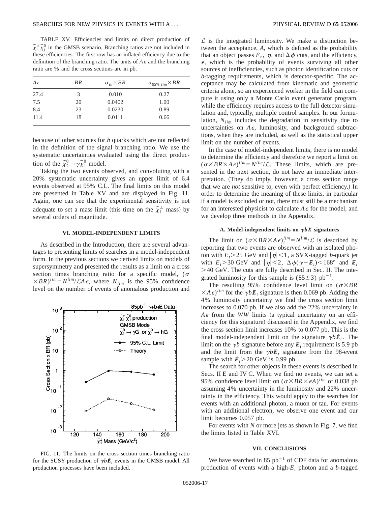TABLE XV. Efficiencies and limits on direct production of  $\tilde{\chi}^{\pm}_{i} \tilde{\chi}^{0}_{j}$  in the GMSB scenario. Branching ratios are not included in these efficiencies. The first row has an inflated efficiency due to the definition of the branching ratio. The units of  $A \epsilon$  and the branching ratio are % and the cross sections are in pb.

| $A \in$ | B <sub>R</sub> | $\sigma_{th} \times BR$ | $\sigma_{95\%\ lim} \times BR$ |
|---------|----------------|-------------------------|--------------------------------|
| 27.4    | 3              | 0.010                   | 0.27                           |
| 7.5     | 20             | 0.0402                  | 1.00                           |
| 8.4     | 23             | 0.0230                  | 0.89                           |
| 11.4    | 18             | 0.0111                  | 0.66                           |

because of other sources for *b* quarks which are not reflected in the definition of the signal branching ratio. We use the systematic uncertainties evaluated using the direct production of the  $\tilde{\chi}_2^0 \rightarrow \gamma \tilde{\chi}_1^0$  model.

Taking the two events observed, and convoluting with a 20% systematic uncertainty gives an upper limit of 6.4 events observed at 95% C.L. The final limits on this model are presented in Table XV and are displayed in Fig. 11. Again, one can see that the experimental sensitivity is not adequate to set a mass limit (this time on the  $\tilde{\chi}^{\pm}_1$  mass) by several orders of magnitude.

### **VI. MODEL-INDEPENDENT LIMITS**

As described in the Introduction, there are several advantages to presenting limits of searches in a model-independent form. In the previous sections we derived limits on models of supersymmetry and presented the results as a limit on a cross section times branching ratio for a specific model,  $(\sigma)$  $\times$ *BR*)<sup>*lim*</sup>=*N*<sup>*lim*</sup>/*LA* $\epsilon$ , where *N*<sub>*lim*</sub> is the 95% confidence level on the number of events of anomalous production and



FIG. 11. The limits on the cross section times branching ratio for the SUSY production of  $\gamma bE_t$  events in the GMSB model. All production processes have been included.

 $\mathcal L$  is the integrated luminosity. We make a distinction between the acceptance, *A*, which is defined as the probability that an object passes  $E_t$ ,  $\eta$ , and  $\Delta \phi$  cuts, and the efficiency,  $\epsilon$ , which is the probability of events surviving all other sources of inefficiencies, such as photon identification cuts or *b*-tagging requirements, which is detector-specific. The acceptance may be calculated from kinematic and geometric criteria alone, so an experienced worker in the field can compute it using only a Monte Carlo event generator program, while the efficiency requires access to the full detector simulation and, typically, multiple control samples. In our formulation,  $N_{lim}$  includes the degradation in sensitivity due to uncertainties on  $A \epsilon$ , luminosity, and background subtractions, when they are included, as well as the statistical upper limit on the number of events.

In the case of model-independent limits, there is no model to determine the efficiency and therefore we report a limit on  $(\sigma \times BR \times A \epsilon)^{lim} = N^{lim}/\mathcal{L}$ . These limits, which are presented in the next section, do not have an immediate interpretation. (They do imply, however, a cross section range that we are *not* sensitive to, even with perfect efficiency.) In order to determine the meaning of these limits, in particular if a model is excluded or not, there must still be a mechanism for an interested physicist to calculate  $A \in \mathfrak{f}$  for the model, and we develop three methods in the Appendix.

### A. Model-independent limits on  $\gamma bX$  signatures

The limit on  $(\sigma \times BR \times A \epsilon)$ <sup>lim</sup>= $N^{lim}/\mathcal{L}$  is described by reporting that two events are observed with an isolated photon with  $E_t$  > 25 GeV and  $|\eta|$  < 1, a SVX-tagged *b*-quark jet with  $E_t > 30$  GeV and  $|\eta| < 2$ ,  $\Delta \phi(\gamma - E_t) < 168^\circ$  and  $E_t$ .40 GeV. The cuts are fully described in Sec. II. The integrated luminosity for this sample is  $(85\pm3)$  pb<sup>-1</sup>.

The resulting 95% confidence level limit on  $(\sigma \times BR)$  $\times A \epsilon$ <sup>*lim*</sup> for the  $\gamma bE_t$  signature is then 0.069 pb. Adding the 4% luminosity uncertainty we find the cross section limit increases to 0.070 pb. If we also add the 22% uncertainty in  $A \in$  from the *WW* limits (a typical uncertainty on an efficiency for this signature) discussed in the Appendix, we find the cross section limit increases 10% to 0.077 pb. This is the final model-independent limit on the signature  $\gamma b E_t$ . The limit on the  $\gamma b$  signature before any  $E_t$  requirement is 5.9 pb and the limit from the  $\gamma bE_t$  signature from the 98-event sample with  $E_t$   $>$  20 GeV is 0.99 pb.

The search for other objects in these events is described in Secs. II E and IV C. When we find no events, we can set a 95% confidence level limit on  $(\sigma \times BR \times \epsilon A)^{lim}$  of 0.038 pb assuming 4% uncertainty in the luminosity and 22% uncertainty in the efficiency. This would apply to the searches for events with an additional photon, a muon or tau. For events with an additional electron, we observe one event and our limit becomes 0.057 pb.

For events with *N* or more jets as shown in Fig. 7, we find the limits listed in Table XVI.

#### **VII. CONCLUSIONS**

We have searched in 85  $pb^{-1}$  of CDF data for anomalous production of events with a high- $E_t$  photon and a *b*-tagged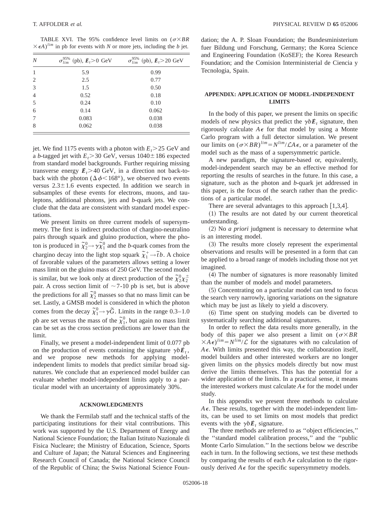TABLE XVI. The 95% confidence level limits on  $(\sigma \times BR)$  $\times \epsilon A$ <sup>*lim*</sup> in pb for events with *N* or more jets, including the *b* jet.

| 0.99<br>5.9<br>2.5<br>0.77<br>2<br>3<br>0.50<br>1.5<br>0.18<br>$\overline{4}$<br>0.52<br>0.10<br>0.24<br>6<br>0.062<br>0.14<br>0.038<br>0.083<br>7 | N | $\sigma_{lim}^{95\%}$ (pb), $E_t > 0$ GeV | $\sigma_{lim}^{95\%}$ (pb), $E_t > 20 \text{ GeV}$ |
|----------------------------------------------------------------------------------------------------------------------------------------------------|---|-------------------------------------------|----------------------------------------------------|
| 5                                                                                                                                                  |   |                                           |                                                    |
|                                                                                                                                                    |   |                                           |                                                    |
|                                                                                                                                                    |   |                                           |                                                    |
|                                                                                                                                                    |   |                                           |                                                    |
|                                                                                                                                                    |   |                                           |                                                    |
|                                                                                                                                                    |   |                                           |                                                    |
|                                                                                                                                                    |   |                                           |                                                    |
|                                                                                                                                                    | 8 | 0.062                                     | 0.038                                              |

jet. We find 1175 events with a photon with  $E_r > 25$  GeV and a *b*-tagged jet with  $E_t$  > 30 GeV, versus  $1040 \pm 186$  expected from standard model backgrounds. Further requiring missing transverse energy  $E_t$   $>$  40 GeV, in a direction not back-toback with the photon ( $\Delta \phi \le 168^{\circ}$ ), we observed two events versus  $2.3 \pm 1.6$  events expected. In addition we search in subsamples of these events for electrons, muons, and tauleptons, additional photons, jets and *b*-quark jets. We conclude that the data are consistent with standard model expectations.

We present limits on three current models of supersymmetry. The first is indirect production of chargino-neutralino pairs through squark and gluino production, where the photon is produced in  $\tilde{\chi}^0_2 \rightarrow \gamma \tilde{\chi}^0_1$  and the *b*-quark comes from the chargino decay into the light stop squark  $\tilde{\chi}_1^+ \rightarrow \tilde{t}b$ . A choice of favorable values of the parameters allows setting a lower mass limit on the gluino mass of 250 GeV. The second model is similar, but we look only at direct production of the  $\tilde{\chi}_2^0 \chi_2^{\pm}$ pair. A cross section limit of  $\sim$  7-10 pb is set, but is above the predictions for all  $\tilde{\chi}_2^0$  masses so that no mass limit can be set. Lastly, a GMSB model is considered in which the photon comes from the decay  $\tilde{\chi}^0_1 \rightarrow \gamma \tilde{G}$ . Limits in the range 0.3–1.0 pb are set versus the mass of the  $\tilde{\chi}_1^0$ , but again no mass limit can be set as the cross section predictions are lower than the limit.

Finally, we present a model-independent limit of 0.077 pb on the production of events containing the signature  $\gamma bE_t$ , and we propose new methods for applying modelindependent limits to models that predict similar broad signatures. We conclude that an experienced model builder can evaluate whether model-independent limits apply to a particular model with an uncertainty of approximately 30%.

### **ACKNOWLEDGMENTS**

We thank the Fermilab staff and the technical staffs of the participating institutions for their vital contributions. This work was supported by the U.S. Department of Energy and National Science Foundation; the Italian Istituto Nazionale di Fisica Nucleare; the Ministry of Education, Science, Sports and Culture of Japan; the Natural Sciences and Engineering Research Council of Canada; the National Science Council of the Republic of China; the Swiss National Science Foundation; the A. P. Sloan Foundation; the Bundesministerium fuer Bildung und Forschung, Germany; the Korea Science and Engineering Foundation (KoSEF); the Korea Research Foundation; and the Comision Interministerial de Ciencia y Tecnologia, Spain.

## **APPENDIX: APPLICATION OF MODEL-INDEPENDENT LIMITS**

In the body of this paper, we present the limits on specific models of new physics that predict the  $\gamma bE_t$  signature, then rigorously calculate  $A \in \mathfrak{f}$  for that model by using a Monte Carlo program with a full detector simulation. We present our limits on  $(\sigma \times BR)^{lim} = N^{lim}/\mathcal{L}A \epsilon$ , or a parameter of the model such as the mass of a supersymmetric particle.

A new paradigm, the signature-based or, equivalently, model-independent search may be an effective method for reporting the results of searches in the future. In this case, a signature, such as the photon and *b*-quark jet addressed in this paper, is the focus of the search rather than the predictions of a particular model.

There are several advantages to this approach  $[1,3,4]$ .

 $(1)$  The results are not dated by our current theoretical understanding.

~2! No *a priori* judgment is necessary to determine what is an interesting model.

~3! The results more closely represent the experimental observations and results will be presented in a form that can be applied to a broad range of models including those not yet imagined.

~4! The number of signatures is more reasonably limited than the number of models and model parameters.

~5! Concentrating on a particular model can tend to focus the search very narrowly, ignoring variations on the signature which may be just as likely to yield a discovery.

~6! Time spent on studying models can be diverted to systematically searching additional signatures.

In order to reflect the data results more generally, in the body of this paper we also present a limit on  $(\sigma \times BR)$  $\times A\epsilon$ <sup>*lim*</sup>= $N^{lim}/\mathcal{L}$  for the signatures with no calculation of  $A \epsilon$ . With limits presented this way, the collaboration itself, model builders and other interested workers are no longer given limits on the physics models directly but now must derive the limits themselves. This has the potential for a wider application of the limits. In a practical sense, it means the interested workers must calculate  $A \in$  for the model under study.

In this appendix we present three methods to calculate  $A \epsilon$ . These results, together with the model-independent limits, can be used to set limits on most models that predict events with the  $\gamma bE_t$  signature.

The three methods are referred to as ''object efficiencies,'' the ''standard model calibration process,'' and the ''public Monte Carlo Simulation.'' In the sections below we describe each in turn. In the following sections, we test these methods by comparing the results of each  $A \in$  calculation to the rigorously derived  $A \in$  for the specific supersymmetry models.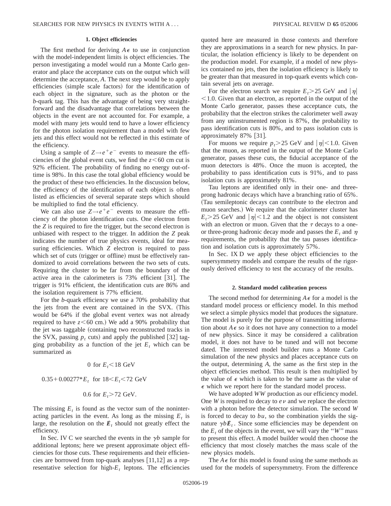The first method for deriving  $A \epsilon$  to use in conjunction with the model-independent limits is object efficiencies. The person investigating a model would run a Monte Carlo generator and place the acceptance cuts on the output which will determine the acceptance, *A*. The next step would be to apply efficiencies (simple scale factors) for the identification of each object in the signature, such as the photon or the *b*-quark tag. This has the advantage of being very straightforward and the disadvantage that correlations between the objects in the event are not accounted for. For example, a model with many jets would tend to have a lower efficiency for the photon isolation requirement than a model with few jets and this effect would not be reflected in this estimate of the efficiency.

Using a sample of  $Z \rightarrow e^+e^-$  events to measure the efficiencies of the global event cuts, we find the  $z < 60$  cm cut is 92% efficient. The probability of finding no energy out-oftime is 98%. In this case the total global efficiency would be the product of these two efficiencies. In the discussion below, the efficiency of the identification of each object is often listed as efficiencies of several separate steps which should be multiplied to find the total efficiency.

We can also use  $Z \rightarrow e^+e^-$  events to measure the efficiency of the photon identification cuts. One electron from the *Z* is required to fire the trigger, but the second electron is unbiased with respect to the trigger. In addition the *Z* peak indicates the number of true physics events, ideal for measuring efficiencies. Which *Z* electron is required to pass which set of cuts (trigger or offline) must be effectively randomized to avoid correlations between the two sets of cuts. Requiring the cluster to be far from the boundary of the active area in the calorimeters is  $73%$  efficient [31]. The trigger is 91% efficient, the identification cuts are 86% and the isolation requirement is 77% efficient.

For the *b*-quark efficiency we use a 70% probability that the jets from the event are contained in the SVX. (This would be 64% if the global event vertex was not already required to have  $z < 60$  cm.) We add a 90% probability that the jet was taggable (containing two reconstructed tracks in the SVX, passing  $p_t$  cuts) and apply the published [32] tagging probability as a function of the jet  $E_t$  which can be summarized as

0 for 
$$
E_t
$$
 < 18 GeV

$$
0.35 + 0.00277 \cdot E_t
$$
 for  $18 \le E_t \le 72$  GeV

0.6 for 
$$
E_t
$$
>72 GeV.

The missing  $E_t$  is found as the vector sum of the noninteracting particles in the event. As long as the missing  $E_t$  is large, the resolution on the  $E_t$  should not greatly effect the efficiency.

In Sec. IV C we searched the events in the  $\gamma b$  sample for additional leptons; here we present approximate object efficiencies for those cuts. These requirements and their efficiencies are borrowed from top-quark analyses  $[11,12]$  as a representative selection for high- $E_t$  leptons. The efficiencies quoted here are measured in those contexts and therefore they are approximations in a search for new physics. In particular, the isolation efficiency is likely to be dependent on the production model. For example, if a model of new physics contained no jets, then the isolation efficiency is likely to be greater than that measured in top-quark events which contain several jets on average.

For the electron search we require  $E_t > 25$  GeV and  $|\eta|$  $\leq$  1.0. Given that an electron, as reported in the output of the Monte Carlo generator, passes these acceptance cuts, the probability that the electron strikes the calorimeter well away from any uninstrumented region is 87%, the probability to pass identification cuts is 80%, and to pass isolation cuts is approximately  $87\%$  [31].

For muons we require  $p_t > 25$  GeV and  $|\eta| < 1.0$ . Given that the muon, as reported in the output of the Monte Carlo generator, passes these cuts, the fiducial acceptance of the muon detectors is 48%. Once the muon is accepted, the probability to pass identification cuts is 91%, and to pass isolation cuts is approximately 81%.

Tau leptons are identified only in their one- and threeprong hadronic decays which have a branching ratio of 65%. (Tau semileptonic decays can contribute to the electron and muon searches.) We require that the calorimeter cluster has  $E_t$  25 GeV and  $|\eta|$  < 1.2 and the object is not consistent with an electron or muon. Given that the  $\tau$  decays to a oneor three-prong hadronic decay mode and passes the  $E_t$  and  $\eta$ requirements, the probability that the tau passes identification and isolation cuts is approximately 57%.

In Sec. IX D we apply these object efficiencies to the supersymmetry models and compare the results of the rigorously derived efficiency to test the accuracy of the results.

#### **2. Standard model calibration process**

The second method for determining  $A \in \mathfrak{g}$  for a model is the standard model process or efficiency model. In this method we select a simple physics model that produces the signature. The model is purely for the purpose of transmitting information about  $A \in S$  so it does not have any connection to a model of new physics. Since it may be considered a calibration model, it does not have to be tuned and will not become dated. The interested model builder runs a Monte Carlo simulation of the new physics and places acceptance cuts on the output, determining *A*, the same as the first step in the object efficiencies method. This result is then multiplied by the value of  $\epsilon$  which is taken to be the same as the value of  $\epsilon$  which we report here for the standard model process.

We have adopted *WW* production as our efficiency model. One *W* is required to decay to  $e\nu$  and we replace the electron with a photon before the detector simulation. The second *W* is forced to decay to *bu*, so the combination yields the signature  $\gamma bE_t$ . Since some efficiencies may be dependent on the  $E_t$  of the objects in the event, we will vary the "*W*" mass to present this effect. A model builder would then choose the efficiency that most closely matches the mass scale of the new physics models.

The  $A \in$  for this model is found using the same methods as used for the models of supersymmetry. From the difference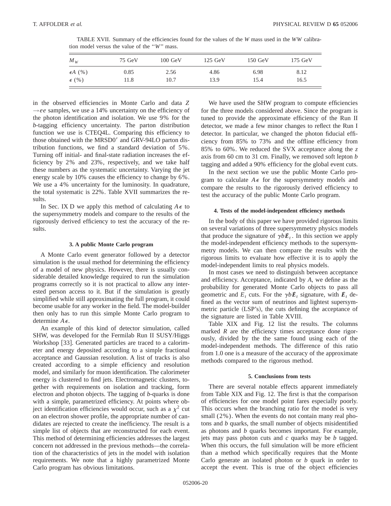| $M_W$            | 75 GeV | $100 \text{ GeV}$ | $125 \text{ GeV}$ | $150 \text{ GeV}$ | $175 \text{ GeV}$ |
|------------------|--------|-------------------|-------------------|-------------------|-------------------|
| $\epsilon A$ (%) | 0.85   | 2.56              | 4.86              | 6.98              | 8.12              |
| $\epsilon$ (%)   | 11.8   | 10.7              | 13.9              | 15.4              | 16.5              |

TABLE XVII. Summary of the efficiencies found for the values of the *W* mass used in the *WW* calibration model versus the value of the ''*W*'' mass.

in the observed efficiencies in Monte Carlo and data *Z*  $\rightarrow$ *ee* samples, we use a 14% uncertainty on the efficiency of the photon identification and isolation. We use 9% for the *b*-tagging efficiency uncertainty. The parton distribution function we use is CTEQ4L. Comparing this efficiency to those obtained with the MRSD0' and GRV-94LO parton distribution functions, we find a standard deviation of 5%. Turning off initial- and final-state radiation increases the efficiency by 2% and 23%, respectively, and we take half these numbers as the systematic uncertainty. Varying the jet energy scale by 10% causes the efficiency to change by 6%. We use a 4% uncertainty for the luminosity. In quadrature, the total systematic is 22%. Table XVII summarizes the results.

In Sec. IX D we apply this method of calculating  $A \in \mathfrak{t}$ the supersymmetry models and compare to the results of the rigorously derived efficiency to test the accuracy of the results.

## **3. A public Monte Carlo program**

A Monte Carlo event generator followed by a detector simulation is the usual method for determining the efficiency of a model of new physics. However, there is usually considerable detailed knowledge required to run the simulation programs correctly so it is not practical to allow any interested person access to it. But if the simulation is greatly simplified while still approximating the full program, it could become usable for any worker in the field. The model-builder then only has to run this simple Monte Carlo program to determine  $A \epsilon$ .

An example of this kind of detector simulation, called SHW, was developed for the Fermilab Run II SUSY/Higgs Workshop [33]. Generated particles are traced to a calorimeter and energy deposited according to a simple fractional acceptance and Gaussian resolution. A list of tracks is also created according to a simple efficiency and resolution model, and similarly for muon identification. The calorimeter energy is clustered to find jets. Electromagnetic clusters, together with requirements on isolation and tracking, form electron and photon objects. The tagging of *b*-quarks is done with a simple, parametrized efficiency. At points where object identification efficiencies would occur, such as a  $\chi^2$  cut on an electron shower profile, the appropriate number of candidates are rejected to create the inefficiency. The result is a simple list of objects that are reconstructed for each event. This method of determining efficiencies addresses the largest concern not addressed in the previous methods—the correlation of the characteristics of jets in the model with isolation requirements. We note that a highly parametrized Monte Carlo program has obvious limitations.

We have used the SHW program to compute efficiencies for the three models considered above. Since the program is tuned to provide the approximate efficiency of the Run II detector, we made a few minor changes to reflect the Run I detector. In particular, we changed the photon fiducial efficiency from 85% to 73% and the offline efficiency from 85% to 60%. We reduced the SVX acceptance along the *z* axis from 60 cm to 31 cm. Finally, we removed soft lepton *b* tagging and added a 90% efficiency for the global event cuts.

In the next section we use the public Monte Carlo program to calculate  $A \in$  for the supersymmetry models and compare the results to the rigorously derived efficiency to test the accuracy of the public Monte Carlo program.

## **4. Tests of the model-independent efficiency methods**

In the body of this paper we have provided rigorous limits on several variations of three supersymmetry physics models that produce the signature of  $\gamma bE_t$ . In this section we apply the model-independent efficiency methods to the supersymmetry models. We can then compare the results with the rigorous limits to evaluate how effective it is to apply the model-independent limits to real physics models.

In most cases we need to distinguish between acceptance and efficiency. Acceptance, indicated by *A*, we define as the probability for generated Monte Carlo objects to pass all geometric and  $E_t$  cuts. For the  $\gamma bE_t$  signature, with  $E_t$  defined as the vector sum of neutrinos and lightest supersymmetric particle (LSP's), the cuts defining the acceptance of the signature are listed in Table XVIII.

Table XIX and Fig. 12 list the results. The columns marked *R* are the efficiency times acceptance done rigorously, divided by the the same found using each of the model-independent methods. The difference of this ratio from 1.0 one is a measure of the accuracy of the approximate methods compared to the rigorous method.

## **5. Conclusions from tests**

There are several notable effects apparent immediately from Table XIX and Fig. 12. The first is that the comparison of efficiencies for one model point fares especially poorly. This occurs when the branching ratio for the model is very small  $(2\%)$ . When the events do not contain many real photons and *b* quarks, the small number of objects misidentified as photons and *b* quarks becomes important. For example, jets may pass photon cuts and *c* quarks may be *b* tagged. When this occurs, the full simulation will be more efficient than a method which specifically requires that the Monte Carlo generate an isolated photon or *b* quark in order to accept the event. This is true of the object efficiencies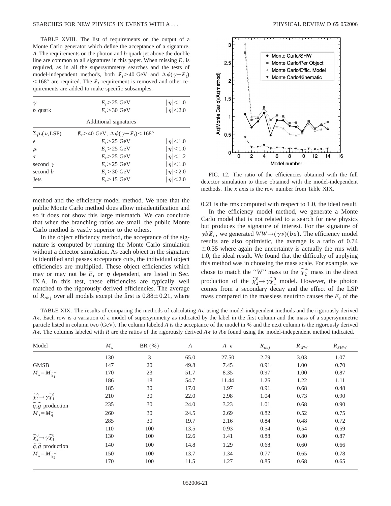TABLE XVIII. The list of requirements on the output of a Monte Carlo generator which define the acceptance of a signature, *A*. The requirements on the photon and *b*-quark jet above the double line are common to all signatures in this paper. When missing  $E_t$  is required, as in all the supersymmetry searches and the tests of model-independent methods, both  $\mathbf{E}_t > 40$  GeV and  $\Delta \phi(\gamma - \mathbf{E}_t)$  $168°$  are required. The  $E_t$  requirement is removed and other requirements are added to make specific subsamples.

| $\gamma$<br><i>b</i> quark    | $E_{i}$ > 25 GeV<br>$E > 30$ GeV                                                | $ \eta $ < 1.0<br>$ \eta $ $<$ 2.0 |
|-------------------------------|---------------------------------------------------------------------------------|------------------------------------|
|                               | Additional signatures                                                           |                                    |
| $\Sigma p_i(\nu, \text{LSP})$ | $\mathbf{E}_{t} > 40$ GeV, $\Delta \phi(\gamma - \mathbf{E}_{t}) < 168^{\circ}$ |                                    |
| $\ell$                        | $E > 25$ GeV                                                                    | $ \eta $ < 1.0                     |
| $\mu$                         | $E_r > 25$ GeV                                                                  | $ \eta $ < 1.0                     |
|                               | $E_{1} > 25$ GeV                                                                | $ \eta $ < 1.2                     |
| second $\gamma$               | $E_{1} > 25$ GeV                                                                | $ \eta $ < 1.0                     |
| second <i>b</i>               | $E > 30$ GeV                                                                    | $ \eta $ $<$ 2.0                   |
| <b>Jets</b>                   | $E_{t} > 15$ GeV                                                                | $ \eta $ < 2.0                     |

method and the efficiency model method. We note that the public Monte Carlo method does allow misidentification and so it does not show this large mismatch. We can conclude that when the branching ratios are small, the public Monte Carlo method is vastly superior to the others.

In the object efficiency method, the acceptance of the signature is computed by running the Monte Carlo simulation without a detector simulation. As each object in the signature is identified and passes acceptance cuts, the individual object efficiencies are multiplied. These object efficiencies which may or may not be  $E_t$  or  $\eta$  dependent, are listed in Sec. IX A. In this test, these efficiencies are typically well matched to the rigorously derived efficiencies. The average of  $R_{obj}$  over all models except the first is  $0.88 \pm 0.21$ , where



FIG. 12. The ratio of the efficiencies obtained with the full detector simulation to those obtained with the model-independent methods. The *x* axis is the row number from Table XIX.

0.21 is the rms computed with respect to 1.0, the ideal result.

In the efficiency model method, we generate a Monte Carlo model that is not related to a search for new physics but produces the signature of interest. For the signature of  $\gamma bE_t$ , we generated  $WW \rightarrow (\gamma \nu)(b\mu)$ . The efficiency model results are also optimistic, the average is a ratio of 0.74  $\pm$  0.35 where again the uncertainty is actually the rms with 1.0, the ideal result. We found that the difficulty of applying this method was in choosing the mass scale. For example, we chose to match the "*W*" mass to the  $\tilde{\chi}_2^{\pm}$  mass in the direct production of the  $\tilde{\chi}_2^0 \rightarrow \gamma \tilde{\chi}_1^0$  model. However, the photon comes from a secondary decay and the effect of the LSP mass compared to the massless neutrino causes the  $E_t$  of the

TABLE XIX. The results of comparing the methods of calculating  $A \epsilon$  using the model-independent methods and the rigorously derived *A*e. Each row is a variation of a model of supersymmetry as indicated by the label in the first column and the mass of a supersymmetric particle listed in column two  $(GeV)$ . The column labeled A is the acceptance of the model in % and the next column is the rigorously derived *A* $\epsilon$ . The columns labeled with *R* are the ratios of the rigorously derived *A* $\epsilon$  to *A* $\epsilon$  found using the model-independent method indicated.

| Model                                                          | $M_{s}$ | BR $(\% )$ | $\boldsymbol{A}$ | $A \cdot \epsilon$ | $R_{obj}$ | $R_{WW}$ | $R_{SHW}$ |
|----------------------------------------------------------------|---------|------------|------------------|--------------------|-----------|----------|-----------|
|                                                                | 130     | 3          | 65.0             | 27.50              | 2.79      | 3.03     | 1.07      |
| <b>GMSB</b>                                                    | 147     | 20         | 49.8             | 7.45               | 0.91      | 1.00     | 0.70      |
| $M_s = M_{\tilde{\chi}^{\pm}_1}$                               | 170     | 23         | 51.7             | 8.35               | 0.97      | 1.00     | 0.87      |
|                                                                | 186     | 18         | 54.7             | 11.44              | 1.26      | 1.22     | 1.11      |
|                                                                | 185     | 30         | 17.0             | 1.97               | 0.91      | 0.68     | 0.48      |
| $\widetilde{\chi}^0_2 \rightarrow \gamma \widetilde{\chi}^0_1$ | 210     | 30         | 22.0             | 2.98               | 1.04      | 0.73     | 0.90      |
| $\tilde{q}, \tilde{g}$ production                              | 235     | 30         | 24.0             | 3.23               | 1.01      | 0.68     | 0.90      |
| $M_s = M_{\tilde{g}}$                                          | 260     | 30         | 24.5             | 2.69               | 0.82      | 0.52     | 0.75      |
|                                                                | 285     | 30         | 19.7             | 2.16               | 0.84      | 0.48     | 0.72      |
|                                                                | 110     | 100        | 13.5             | 0.93               | 0.54      | 0.54     | 0.59      |
| $\widetilde{\chi}^0_2 \rightarrow \gamma \widetilde{\chi}^0_1$ | 130     | 100        | 12.6             | 1.41               | 0.88      | 0.80     | 0.87      |
| $\tilde{q}, \tilde{g}$ production                              | 140     | 100        | 14.8             | 1.29               | 0.68      | 0.60     | 0.66      |
| $M_s = M_{\tilde{\chi}_2^{\pm}}$                               | 150     | 100        | 13.7             | 1.34               | 0.77      | 0.65     | 0.78      |
|                                                                | 170     | 100        | 11.5             | 1.27               | 0.85      | 0.68     | 0.65      |